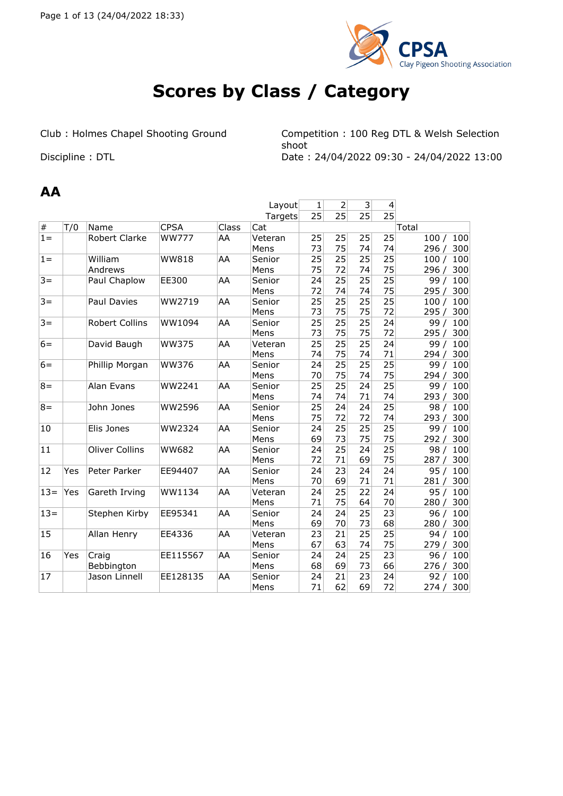

# **Scores by Class / Category**

Club : Holmes Chapel Shooting Ground Competition : 100 Reg DTL & Welsh Selection shoot Discipline : DTL Date : 24/04/2022 09:30 - 24/04/2022 13:00

#### **AA**

|        |     |                       |              |       | Layout  | 1  | $\overline{2}$ | 3               | $\overline{\mathbf{4}}$ |              |
|--------|-----|-----------------------|--------------|-------|---------|----|----------------|-----------------|-------------------------|--------------|
|        |     |                       |              |       | Targets | 25 | 25             | 25              | $\overline{25}$         |              |
| $\#$   | T/0 | Name                  | <b>CPSA</b>  | Class | Cat     |    |                |                 |                         | Total        |
| $1 =$  |     | <b>Robert Clarke</b>  | <b>WW777</b> | AA    | Veteran | 25 | 25             | 25              | 25                      | 100<br>100/  |
|        |     |                       |              |       | Mens    | 73 | 75             | 74              | 74                      | 300<br>296 / |
| $1 =$  |     | William               | <b>WW818</b> | AA    | Senior  | 25 | 25             | 25              | 25                      | 100/<br>100  |
|        |     | Andrews               |              |       | Mens    | 75 | 72             | 74              | 75                      | 300<br>296 / |
| $3 =$  |     | Paul Chaplow          | EE300        | AA    | Senior  | 24 | 25             | 25              | $\overline{25}$         | 99/<br>100   |
|        |     |                       |              |       | Mens    | 72 | 74             | 74              | 75                      | 300<br>295/  |
| $3 =$  |     | Paul Davies           | WW2719       | AA    | Senior  | 25 | 25             | 25              | 25                      | 100<br>100/  |
|        |     |                       |              |       | Mens    | 73 | 75             | 75              | 72                      | 295/<br>300  |
| $3 =$  |     | Robert Collins        | WW1094       | AA    | Senior  | 25 | 25             | 25              | 24                      | 99/<br>100   |
|        |     |                       |              |       | Mens    | 73 | 75             | 75              | 72                      | 295/<br>300  |
| $6=$   |     | David Baugh           | <b>WW375</b> | ΙAΑ   | Veteran | 25 | 25             | 25              | 24                      | 99/<br>100   |
|        |     |                       |              |       | Mens    | 74 | 75             | 74              | 71                      | 300<br>294 / |
| $6=$   |     | Phillip Morgan        | <b>WW376</b> | AA    | Senior  | 24 | 25             | 25              | 25                      | 99/<br>100   |
|        |     |                       |              |       | Mens    | 70 | 75             | 74              | 75                      | 300<br>294/  |
| $8 =$  |     | Alan Evans            | WW2241       | AA    | Senior  | 25 | 25             | 24              | 25                      | 100<br>99/   |
|        |     |                       |              |       | Mens    | 74 | 74             | 71              | 74                      | 293/<br>300  |
| $8 =$  |     | John Jones            | WW2596       | ΙAΑ   | Senior  | 25 | 24             | 24              | 25                      | 98/<br>100   |
|        |     |                       |              |       | Mens    | 75 | 72             | 72              | 74                      | 300<br>293/  |
| 10     |     | Elis Jones            | WW2324       | AA    | Senior  | 24 | 25             | $\overline{25}$ | $\overline{25}$         | 100<br>99/   |
|        |     |                       |              |       | Mens    | 69 | 73             | 75              | 75                      | 300<br>292/  |
| 11     |     | <b>Oliver Collins</b> | <b>WW682</b> | AA    | Senior  | 24 | 25             | 24              | $\overline{25}$         | 100<br>98/   |
|        |     |                       |              |       | Mens    | 72 | 71             | 69              | 75                      | 300<br>287/  |
| 12     | Yes | Peter Parker          | EE94407      | AA    | Senior  | 24 | 23             | 24              | 24                      | 95/<br>100   |
|        |     |                       |              |       | Mens    | 70 | 69             | 71              | 71                      | 300<br>281/  |
| $13 =$ | Yes | Gareth Irving         | WW1134       | AA    | Veteran | 24 | 25             | 22              | 24                      | 95/<br>100   |
|        |     |                       |              |       | Mens    | 71 | 75             | 64              | 70                      | 280 /<br>300 |
| $13 =$ |     | Stephen Kirby         | EE95341      | AA    | Senior  | 24 | 24             | 25              | 23                      | 96/<br>100   |
|        |     |                       |              |       | Mens    | 69 | 70             | 73              | 68                      | 300<br>280/  |
| 15     |     | Allan Henry           | EE4336       | AA    | Veteran | 23 | 21             | 25              | 25                      | 100<br>94/   |
|        |     |                       |              |       | Mens    | 67 | 63             | 74              | 75                      | 300<br>279/  |
| 16     | Yes | Craig                 | EE115567     | AA    | Senior  | 24 | 24             | $\overline{25}$ | 23                      | 96/<br>100   |
|        |     | Bebbington            |              |       | Mens    | 68 | 69             | 73              | 66                      | 300<br>276/  |
| 17     |     | Jason Linnell         | EE128135     | AA    | Senior  | 24 | 21             | 23              | 24                      | 100<br>92/   |
|        |     |                       |              |       | Mens    | 71 | 62             | 69              | 72                      | 300<br>274/  |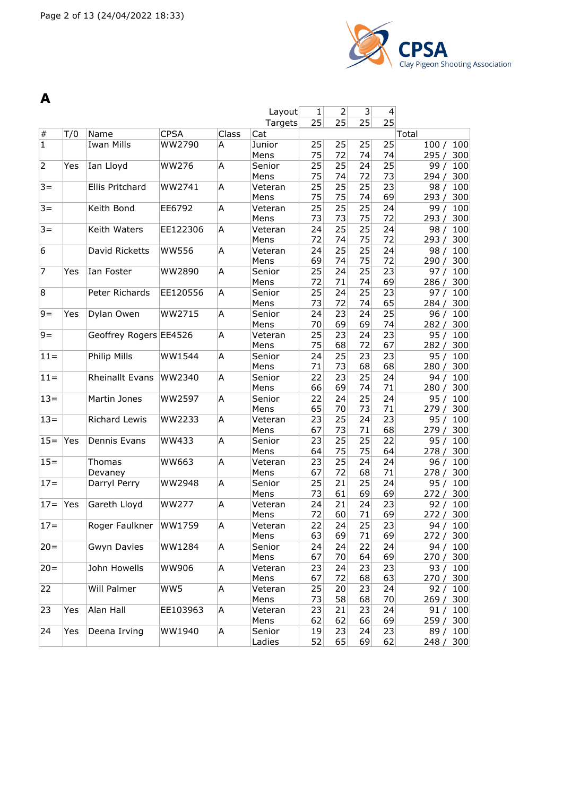

| A              |     |                        |               |       |                 |          |                |          |          |                    |
|----------------|-----|------------------------|---------------|-------|-----------------|----------|----------------|----------|----------|--------------------|
|                |     |                        |               |       | Layout          | 1        | $\overline{2}$ | 3        | 4        |                    |
|                |     |                        |               |       | Targets         | 25       | 25             | 25       | 25       |                    |
| $\#$           | T/0 | Name                   | <b>CPSA</b>   | Class | Cat             |          |                |          |          | Total              |
| $\overline{1}$ |     | <b>Iwan Mills</b>      | WW2790        | A     | Junior          | 25       | 25             | 25       | 25       | 100<br>100/        |
|                |     |                        |               |       | Mens            | 75       | 72             | 74       | 74       | 295/<br>300        |
| $\overline{2}$ | Yes | Ian Lloyd              | <b>WW276</b>  | A     | Senior          | 25       | 25             | 24       | 25       | 100<br>99/         |
|                |     |                        |               |       | Mens            | 75       | 74             | 72       | 73       | 300<br>294/        |
| $3 =$          |     | Ellis Pritchard        | WW2741        | A     | Veteran         | 25       | 25             | 25       | 23       | 100<br>98/         |
|                |     |                        |               |       | Mens            | 75       | 75             | 74       | 69       | 300<br>293/        |
| $3 =$          |     | Keith Bond             | EE6792        | A     | Veteran         | 25       | 25             | 25       | 24       | 100<br>99/         |
|                |     |                        |               |       | Mens            | 73       | 73             | 75       | 72       | 300<br>293/        |
| $3 =$          |     | Keith Waters           | EE122306      | A     | Veteran         | 24       | 25             | 25       | 24       | 98/<br>100         |
|                |     |                        |               |       | Mens            | 72       | 74             | 75       | 72       | 293 / 300          |
| 6              |     | David Ricketts         | <b>WW556</b>  | A     | Veteran         | 24       | 25             | 25       | 24       | 98/<br>100         |
|                |     |                        |               |       | Mens            | 69       | 74             | 75       | 72       | 300<br>290/        |
| $\overline{7}$ | Yes | Ian Foster             | WW2890        | A     | Senior          | 25       | 24             | 25       | 23       | 100<br>97/         |
|                |     |                        |               |       | Mens            | 72       | 71             | 74       | 69       | 300<br>286/        |
| 8              |     | Peter Richards         | EE120556      | Α     | Senior          | 25       | 24             | 25       | 23       | 97/<br>100         |
|                |     |                        |               |       | Mens            | 73       | 72             | 74       | 65       | 300<br>284 /       |
| $9 =$          | Yes | Dylan Owen             | WW2715        | A     | Senior          | 24<br>70 | 23<br>69       | 24<br>69 | 25<br>74 | 96/<br>100         |
| $9=$           |     | Geoffrey Rogers EE4526 |               | A     | Mens            | 25       | 23             | 24       | 23       | 300<br>282/<br>100 |
|                |     |                        |               |       | Veteran<br>Mens | 75       | 68             | 72       | 67       | 95/<br>282/<br>300 |
| $11 =$         |     | Philip Mills           | WW1544        | A     | Senior          | 24       | 25             | 23       | 23       | 95/<br>100         |
|                |     |                        |               |       | Mens            | 71       | 73             | 68       | 68       | 300<br>280/        |
| $11 =$         |     | <b>Rheinallt Evans</b> | WW2340        | Α     | Senior          | 22       | 23             | 25       | 24       | 94/<br>100         |
|                |     |                        |               |       | Mens            | 66       | 69             | 74       | 71       | 280 /<br>300       |
| $13=$          |     | Martin Jones           | WW2597        | A     | Senior          | 22       | 24             | 25       | 24       | 95/<br>100         |
|                |     |                        |               |       | Mens            | 65       | 70             | 73       | 71       | 300<br>279 /       |
| $13 =$         |     | Richard Lewis          | WW2233        | A     | Veteran         | 23       | 25             | 24       | 23       | 95/<br>100         |
|                |     |                        |               |       | Mens            | 67       | 73             | 71       | 68       | 300<br>279/        |
| $15 =$         | Yes | Dennis Evans           | WW433         | A     | Senior          | 23       | 25             | 25       | 22       | 95/<br>100         |
|                |     |                        |               |       | Mens            | 64       | 75             | 75       | 64       | 300<br>278/        |
| $15 =$         |     | Thomas                 | WW663         | Α     | Veteran         | 23       | 25             | 24       | 24       | 100<br>96/         |
|                |     | Devaney                |               |       | Mens            | 67       | 72             | 68       | 71       | 300<br>278 /       |
| $17 =$         |     | Darryl Perry           | <b>WW2948</b> | A     | Senior          | 25       | 21             | 25       | 24       | 100<br>95/         |
|                |     |                        |               |       | Mens            | 73       | 61             | 69       | 69       | 300<br>272/        |
| $17 =$         | Yes | Gareth Lloyd           | <b>WW277</b>  | A     | Veteran         | 24       | 21             | 24       | 23       | 92/<br>100         |
|                |     |                        |               |       | Mens            | 72       | 60             | 71       | 69       | 272 / 300          |
| $17 =$         |     | Roger Faulkner         | WW1759        | A     | Veteran         | 22       | 24             | 25       | 23       | 94 / 100           |
|                |     |                        |               |       | Mens            | 63       | 69             | 71       | 69       | 272 / 300          |
| $20 =$         |     | <b>Gwyn Davies</b>     | WW1284        | A     | Senior          | 24       | 24             | 22       | 24       | 94 / 100           |
|                |     |                        |               |       | Mens            | 67       | 70             | 64       | 69       | 270 / 300          |
| $20 =$         |     | John Howells           | <b>WW906</b>  | A     | Veteran         | 23       | 24             | 23       | 23       | 93/<br>100         |
|                |     |                        |               |       | Mens            | 67       | 72             | 68       | 63       | 270/<br>300        |
| 22             |     | Will Palmer            | WW5           | Α     | Veteran         | 25       | 20             | 23       | 24       | 92/<br>100         |
|                |     |                        |               |       | Mens            | 73       | 58             | 68       | 70       | 269 / 300          |
| 23             | Yes | Alan Hall              | EE103963      | A     | Veteran         | 23       | 21             | 23       | 24       | 91/<br>100         |
|                |     |                        |               |       | Mens            | 62       | 62             | 66       | 69       | 259 /<br>300       |
| 24             | Yes | Deena Irving           | WW1940        | A     | Senior          | 19       | 23             | 24       | 23       | 89 / 100           |
|                |     |                        |               |       | Ladies          | 52       | 65             | 69       | 62       | 248 / 300          |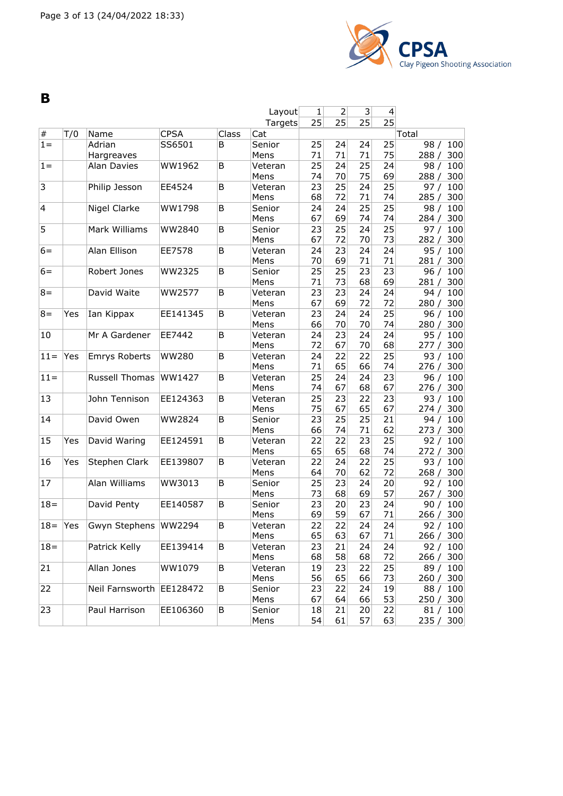

**B**

|                |     |                          |              |       | Layout          | $\mathbf{1}$ | $\overline{2}$ | $\overline{\mathbf{3}}$ | $\overline{\mathcal{L}}$ |                           |
|----------------|-----|--------------------------|--------------|-------|-----------------|--------------|----------------|-------------------------|--------------------------|---------------------------|
|                |     |                          |              |       | Targets         | 25           | 25             | 25                      | 25                       |                           |
| $\#$           | T/0 | Name                     | <b>CPSA</b>  | Class | Cat             |              |                |                         |                          | Total                     |
| $1 =$          |     | Adrian                   | SS6501       | B     | Senior          | 25           | 24             | 24                      | 25                       | 98/<br>100                |
|                |     | Hargreaves               |              |       | Mens            | 71           | 71             | 71                      | 75                       | 288/<br>300               |
| $1 =$          |     | <b>Alan Davies</b>       | WW1962       | B     | Veteran         | 25           | 24             | 25                      | 24                       | 100<br>98/                |
|                |     |                          |              |       | Mens            | 74           | 70             | 75                      | 69                       | 300<br>288/               |
| $\overline{3}$ |     | Philip Jesson            | EE4524       | В     | Veteran         | 23           | 25             | 24                      | 25                       | 100<br>97/                |
|                |     |                          |              |       | Mens            | 68           | 72             | 71                      | 74                       | 285/<br>300               |
| $\overline{4}$ |     | Nigel Clarke             | WW1798       | В     | Senior          | 24           | 24             | 25                      | 25                       | 98/<br>100                |
|                |     |                          |              |       | Mens            | 67           | 69             | 74                      | 74                       | 284/<br>300               |
| $\overline{5}$ |     | Mark Williams            | WW2840       | В     | Senior          | 23           | 25             | 24                      | $\overline{25}$          | 97/<br>100                |
|                |     |                          |              |       | Mens            | 67           | 72             | 70                      | 73                       | 282/<br>300               |
| $6=$           |     | Alan Ellison             | EE7578       | В     | Veteran         | 24           | 23             | 24                      | 24                       | 95/<br>100                |
|                |     |                          |              |       | Mens            | 70           | 69             | 71                      | 71                       | 300<br>281/               |
| $6=$           |     | Robert Jones             | WW2325       | В     | Senior          | 25           | 25             | 23<br>68                | 23                       | 96/<br>100                |
|                |     |                          |              |       | Mens            | 71<br>23     | 73<br>23       | 24                      | 69                       | 281 / 300                 |
| $8 =$          |     | David Waite              | WW2577       | В     | Veteran<br>Mens | 67           | 69             | 72                      | 24<br>72                 | 94/<br>100<br>280/<br>300 |
| $8 =$          | Yes | Ian Kippax               | EE141345     | В     | Veteran         | 23           | 24             | 24                      | 25                       | 100<br>96/                |
|                |     |                          |              |       | Mens            | 66           | 70             | 70                      | 74                       | 280/<br>300               |
| 10             |     | Mr A Gardener            | EE7442       | B     | Veteran         | 24           | 23             | 24                      | 24                       | 95/<br>100                |
|                |     |                          |              |       | Mens            | 72           | 67             | 70                      | 68                       | 300<br>277/               |
| $11 =$         | Yes | <b>Emrys Roberts</b>     | <b>WW280</b> | В     | Veteran         | 24           | 22             | 22                      | 25                       | 93/<br>100                |
|                |     |                          |              |       | Mens            | 71           | 65             | 66                      | 74                       | 276 / 300                 |
| $11 =$         |     | Russell Thomas           | WW1427       | В     | Veteran         | 25           | 24             | 24                      | 23                       | 100<br>96/                |
|                |     |                          |              |       | Mens            | 74           | 67             | 68                      | 67                       | 300<br>276/               |
| 13             |     | John Tennison            | EE124363     | B     | Veteran         | 25           | 23             | 22                      | 23                       | 100<br>93/                |
|                |     |                          |              |       | Mens            | 75           | 67             | 65                      | 67                       | 300<br>274/               |
| 14             |     | David Owen               | WW2824       | В     | Senior          | 23           | 25             | 25                      | 21                       | 94/<br>100                |
|                |     |                          |              |       | Mens            | 66           | 74             | 71                      | 62                       | 273/<br>300               |
| 15             | Yes | David Waring             | EE124591     | В     | Veteran         | 22           | 22             | 23                      | 25                       | 92/<br>100                |
|                |     |                          |              |       | Mens            | 65           | 65             | 68                      | 74                       | 272/<br>300               |
| 16             | Yes | Stephen Clark            | EE139807     | В     | Veteran         | 22           | 24             | 22                      | 25                       | 93/<br>100                |
|                |     |                          |              |       | Mens            | 64           | 70             | 62                      | 72                       | 268/<br>300               |
| 17             |     | Alan Williams            | WW3013       | В     | Senior          | 25           | 23             | 24                      | 20                       | 92/<br>100                |
|                |     |                          |              |       | Mens            | 73           | 68             | 69                      | 57                       | 300<br>267/               |
| $18 =$         |     | David Penty              | EE140587     | В     | Senior          | 23           | 20             | 23                      | 24                       | 90/<br>100                |
|                |     |                          |              |       | Mens            | 69           | 59             | 67                      | 71                       | 266 / 300                 |
| $18 =$         | Yes | Gwyn Stephens            | WW2294       | B     | Veteran         | 22           | 22             | 24                      | 24                       | 92/<br>100                |
|                |     |                          |              |       | Mens            | 65           | 63             | 67                      | 71                       | 266 / 300                 |
| $18 =$         |     | Patrick Kelly            | EE139414     | В     | Veteran         | 23           | 21             | 24                      | 24                       | 92 / 100                  |
|                |     |                          |              |       | Mens            | 68           | 58             | 68                      | 72                       | 266 / 300                 |
| 21             |     | Allan Jones              | WW1079       | В     | Veteran         | 19           | 23             | 22                      | 25                       | 89 / 100                  |
|                |     |                          |              |       | Mens            | 56           | 65             | 66                      | 73                       | 260 / 300                 |
| 22             |     | Neil Farnsworth EE128472 |              | В     | Senior          | 23           | 22             | 24                      | 19                       | 88 / 100                  |
|                |     |                          |              |       | Mens            | 67           | 64             | 66                      | 53                       | 250 / 300                 |
| 23             |     | Paul Harrison            | EE106360     | В     | Senior          | 18           | 21             | 20                      | 22                       | 81 / 100                  |
|                |     |                          |              |       | Mens            | 54           | 61             | 57                      | 63                       | 235/<br>300               |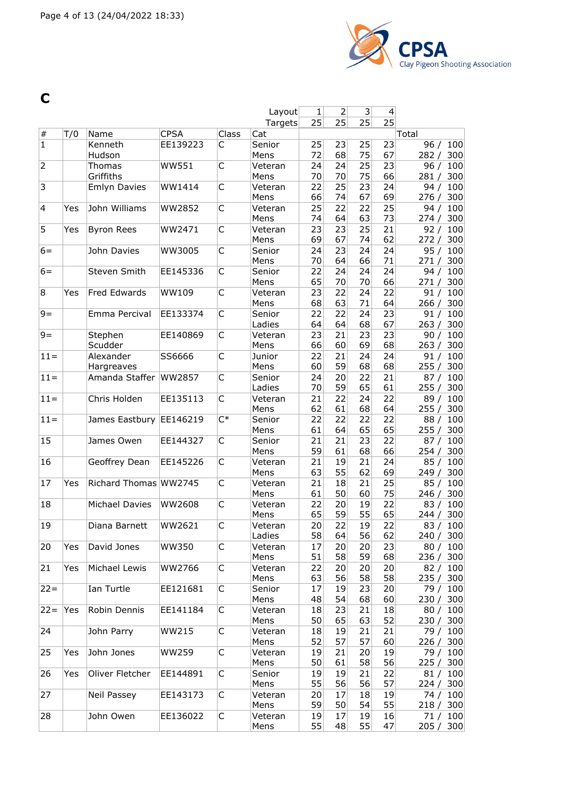

**C**

|                         |     |                         |              |       | Layout          | $\mathbf{1}$    | 2        | $\overline{3}$        | 4               |                           |
|-------------------------|-----|-------------------------|--------------|-------|-----------------|-----------------|----------|-----------------------|-----------------|---------------------------|
|                         |     |                         |              |       | Targets         | 25              | 25       | 25                    | $\overline{25}$ |                           |
| $\#$                    | T/0 | Name                    | <b>CPSA</b>  | Class | Cat             |                 |          |                       |                 | Total                     |
| $\overline{1}$          |     | Kenneth<br>Hudson       | EE139223     | C     | Senior<br>Mens  | 25<br>72        | 23<br>68 | 25<br>75              | 23<br>67        | 96/<br>100<br>300<br>282/ |
| $\overline{2}$          |     | Thomas                  | WW551        | C     | Veteran         | 24              | 24       | 25                    | 23              | 96/<br>100                |
|                         |     | Griffiths               |              |       | Mens            | 70              | 70       | 75                    | 66              | 300<br>281/               |
| 3                       |     | <b>Emlyn Davies</b>     | WW1414       | C     | Veteran         | 22              | 25       | 23                    | 24              | 100<br>94/                |
|                         |     |                         |              |       | Mens            | 66              | 74       | 67                    | 69              | 300<br>276/               |
| $\overline{\mathsf{4}}$ | Yes | John Williams           | WW2852       | С     | Veteran         | 25              | 22       | 22                    | 25              | 94 /<br>100               |
|                         |     |                         |              |       | Mens            | 74              | 64       | 63                    | 73              | 300<br>274/               |
| 5                       | Yes | <b>Byron Rees</b>       | WW2471       | C     | Veteran<br>Mens | 23<br>69        | 23<br>67 | $\overline{25}$<br>74 | 21<br>62        | 92/<br>100<br>300<br>272/ |
| $6=$                    |     | John Davies             | WW3005       | C     | Senior          | 24              | 23       | 24                    | 24              | 95/<br>100                |
|                         |     |                         |              |       | Mens            | 70              | 64       | 66                    | 71              | 300<br>271/               |
| $6=$                    |     | Steven Smith            | EE145336     | C     | Senior          | 22              | 24       | 24                    | 24              | 100<br>94/                |
|                         |     |                         |              |       | Mens            | 65              | 70       | 70                    | 66              | 300<br>271/               |
| 8                       | Yes | Fred Edwards            | WW109        | C     | Veteran         | 23              | 22       | 24                    | 22              | 91/<br>100                |
|                         |     |                         |              |       | Mens            | 68              | 63       | 71                    | 64              | 266/<br>300               |
| $9 =$                   |     | Emma Percival           | EE133374     | C     | Senior          | 22              | 22       | 24                    | 23              | 91/<br>100                |
|                         |     |                         |              |       | Ladies          | 64              | 64       | 68                    | 67              | 263/<br>300               |
| $9=$                    |     | Stephen                 | EE140869     | C     | Veteran         | 23              | 21       | 23                    | 23              | 100<br>90/                |
|                         |     | Scudder                 |              |       | Mens            | 66              | 60       | 69                    | 68              | 263/<br>300               |
| $11 =$                  |     | Alexander<br>Hargreaves | SS6666       | C     | Junior<br>Mens  | 22<br>60        | 21<br>59 | 24<br>68              | 24<br>68        | 91/<br>100<br>255/<br>300 |
| $11 =$                  |     | Amanda Staffer          | WW2857       | C     | Senior          | 24              | 20       | 22                    | 21              | 87/<br>100                |
|                         |     |                         |              |       | Ladies          | 70              | 59       | 65                    | 61              | 255/<br>300               |
| $11 =$                  |     | Chris Holden            | EE135113     | C     | Veteran         | 21              | 22       | 24                    | 22              | 89/<br>100                |
|                         |     |                         |              |       | Mens            | 62              | 61       | 68                    | 64              | 255/<br>300               |
| $11 =$                  |     | James Eastbury          | EE146219     | $C^*$ | Senior          | 22              | 22       | 22                    | 22              | 100<br>88/                |
|                         |     |                         |              |       | Mens            | 61              | 64       | 65                    | 65              | 300<br>255/               |
| 15                      |     | James Owen              | EE144327     | С     | Senior          | 21              | 21       | 23                    | 22              | 87/<br>100                |
|                         |     |                         |              |       | Mens            | 59              | 61       | 68                    | 66              | 254/<br>300               |
| 16                      |     | Geoffrey Dean           | EE145226     | С     | Veteran         | 21              | 19       | 21                    | 24              | 85/<br>100                |
|                         |     |                         |              |       | Mens            | 63              | 55       | 62                    | 69              | 300<br>249/               |
| 17                      | Yes | Richard Thomas WW2745   |              | С     | Veteran         | 21              | 18       | 21                    | 25              | 85/<br>100                |
| 18                      |     | Michael Davies          | WW2608       | C     | Mens            | 61<br>22        | 50<br>20 | 60<br>19              | 75<br>22        | 300<br>246/<br>83/<br>100 |
|                         |     |                         |              |       | Veteran<br>Mens | 65              | 59       | 55                    | 65              | 244 / 300                 |
| 19                      |     | Diana Barnett           | WW2621       | C     | Veteran         | 20 <sup>°</sup> | 22       | 19                    | 22              | 83 / 100                  |
|                         |     |                         |              |       | Ladies          | 58              | 64       | 56                    | 62              | 240 / 300                 |
| 20                      | Yes | David Jones             | <b>WW350</b> | C     | Veteran         | 17              | 20       | 20                    | 23              | 80 / 100                  |
|                         |     |                         |              |       | Mens            | 51              | 58       | 59                    | 68              | 236 / 300                 |
| 21                      | Yes | Michael Lewis           | WW2766       | C     | Veteran         | 22              | 20       | 20                    | 20              | 82 / 100                  |
|                         |     |                         |              |       | Mens            | 63              | 56       | 58                    | 58              | 235 / 300                 |
| $ 22=$                  |     | Ian Turtle              | EE121681     | C     | Senior          | 17              | 19       | 23                    | 20              | 79 / 100                  |
|                         |     |                         |              |       | Mens            | 48              | 54       | 68                    | 60              | 230 / 300                 |
| $22 =$                  | Yes | Robin Dennis            | EE141184     | C     | Veteran         | 18              | 23       | 21                    | 18              | 80 / 100                  |
|                         |     |                         |              |       | Mens            | 50              | 65       | 63                    | 52              | 230 / 300                 |
| 24                      |     | John Parry              | WW215        | С     | Veteran         | 18<br>52        | 19<br>57 | 21<br>57              | 21<br>60        | 79 / 100                  |
| 25                      | Yes | John Jones              | WW259        | C     | Mens<br>Veteran | 19              | 21       | 20                    | 19              | 226 / 300<br>79 / 100     |
|                         |     |                         |              |       | Mens            | 50              | 61       | 58                    | 56              | 225 / 300                 |
| 26                      | Yes | Oliver Fletcher         | EE144891     | C     | Senior          | 19              | 19       | 21                    | 22              | 81 / 100                  |
|                         |     |                         |              |       | Mens            | 55              | 56       | 56                    | 57              | 224 / 300                 |
| 27                      |     | Neil Passey             | EE143173     | С     | Veteran         | 20 <sub>2</sub> | 17       | 18                    | 19              | 74 / 100                  |
|                         |     |                         |              |       | Mens            | 59              | 50       | 54                    | 55              | 218 / 300                 |
| 28                      |     | John Owen               | EE136022     | С     | Veteran         | 19              | 17       | 19                    | 16              | 71/100                    |
|                         |     |                         |              |       | Mens            | 55              | 48       | 55                    | 47              | 205 / 300                 |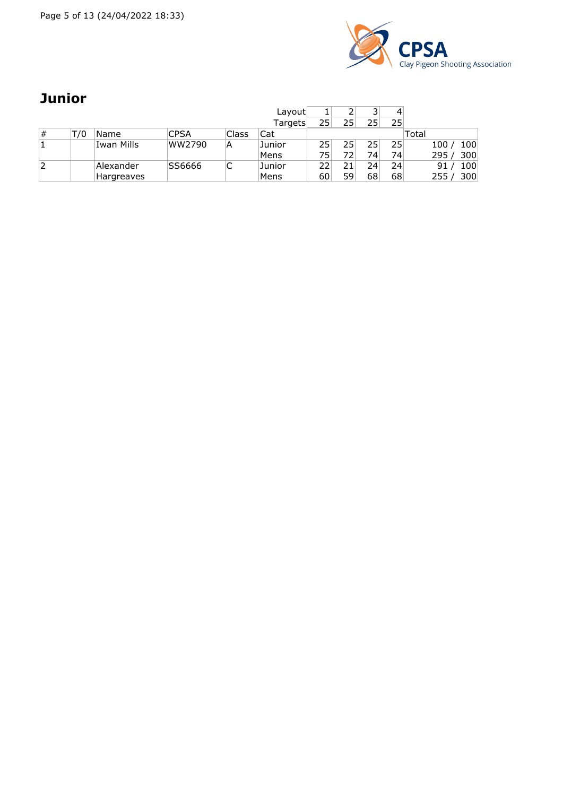Page 5 of 13 (24/04/2022 18:33)



### **Junior**

|   |     |            |             |        | Layout  |    |    | っ  |    |            |
|---|-----|------------|-------------|--------|---------|----|----|----|----|------------|
|   |     |            |             |        | Targets | 25 | 25 | 25 | 25 |            |
| # | T/0 | Name       | <b>CPSA</b> | Class  | Cat     |    |    |    |    | Total      |
|   |     | Iwan Mills | WW2790      | A      | Junior  | 25 | 25 | 25 | 25 | 100<br>100 |
|   |     |            |             |        | Mens    | 75 | 72 | 74 | 74 | 300<br>295 |
| 2 |     | Alexander  | SS6666      | ┌<br>֊ | Junior  | 22 | 21 | 24 | 24 | 100<br>91  |
|   |     | Hargreaves |             |        | Mens    | 60 | 59 | 68 | 68 | 300<br>255 |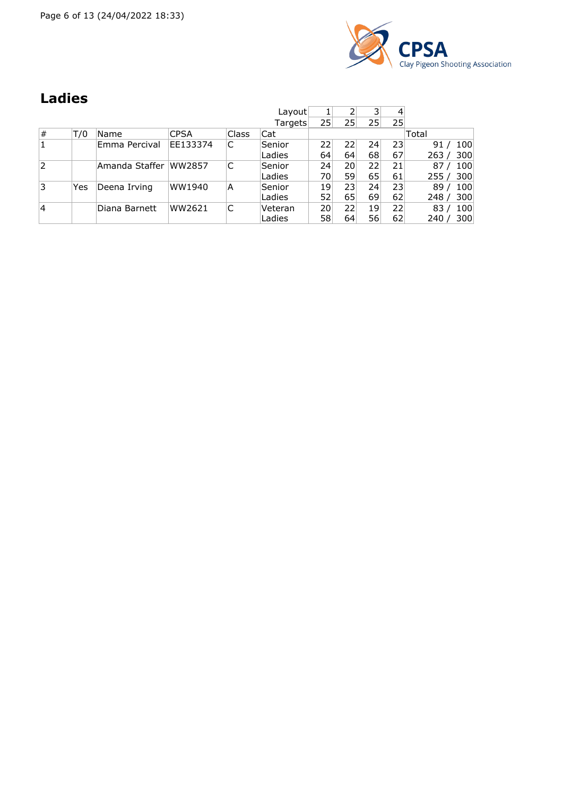Page 6 of 13 (24/04/2022 18:33)



## **Ladies**

|                |     |                |             |       | Layout  |    |                 | 3  | 4               |             |
|----------------|-----|----------------|-------------|-------|---------|----|-----------------|----|-----------------|-------------|
|                |     |                |             |       | Targets | 25 | 25              | 25 | 25              |             |
| #              | T/0 | Name           | <b>CPSA</b> | Class | Cat     |    |                 |    |                 | Total       |
| 1              |     | Emma Percival  | EE133374    | C     | Senior  | 22 | 22              | 24 | 23 <sup>1</sup> | 100<br>91   |
|                |     |                |             |       | Ladies  | 64 | 64              | 68 | 67              | 300<br>263  |
| $\overline{2}$ |     | Amanda Staffer | WW2857      |       | Senior  | 24 | 20 <sup>1</sup> | 22 | 21              | 87<br>100   |
|                |     |                |             |       | Ladies  | 70 | 59              | 65 | 61              | 300<br>255/ |
| 3              | Yes | Deena Irving   | WW1940      | A     | Senior  | 19 | 23 <sup>1</sup> | 24 | 23              | 100<br>89   |
|                |     |                |             |       | Ladies  | 52 | 65              | 69 | 62              | 300<br>248  |
| $\overline{4}$ |     | Diana Barnett  | WW2621      | C     | Veteran | 20 | 22              | 19 | 22              | 83<br>100   |
|                |     |                |             |       | Ladies  | 58 | 64              | 56 | 62              | 300<br>240  |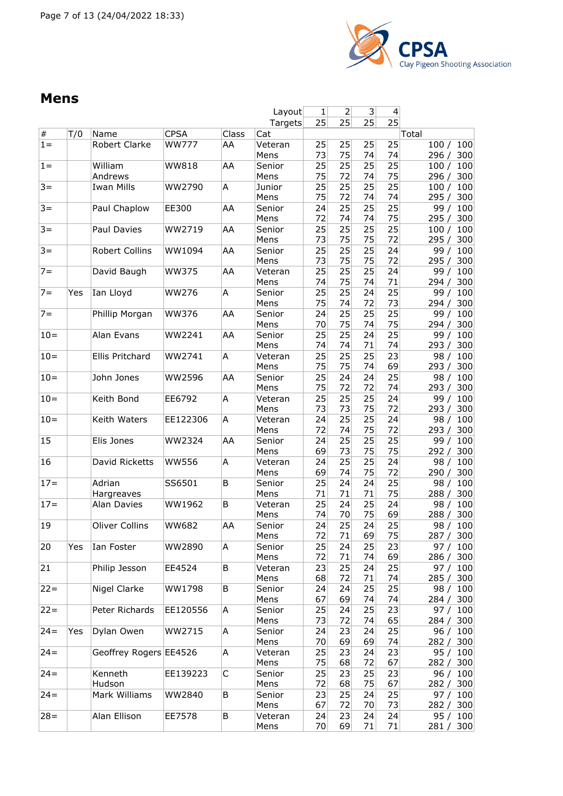

#### **Mens**

|        |     |                        |              |       | Layout          | 1        | 2        | 3        | 4               |                             |
|--------|-----|------------------------|--------------|-------|-----------------|----------|----------|----------|-----------------|-----------------------------|
|        |     |                        |              |       | Targets         | 25       | 25       | 25       | $\overline{25}$ |                             |
| $\#$   | T/0 | Name                   | <b>CPSA</b>  | Class | Cat             |          |          |          |                 | Total                       |
| $1 =$  |     | Robert Clarke          | <b>WW777</b> | AA    | Veteran<br>Mens | 25<br>73 | 25<br>75 | 25<br>74 | 25<br>74        | 100<br>100/<br>300<br>296 / |
| $1 =$  |     | William<br>Andrews     | <b>WW818</b> | AA    | Senior<br>Mens  | 25<br>75 | 25<br>72 | 25<br>74 | 25<br>75        | 100<br>100/<br>300<br>296 / |
| $3 =$  |     | <b>Iwan Mills</b>      | WW2790       | Α     | Junior          | 25       | 25       | 25       | 25              | 100<br>100/                 |
|        |     |                        |              |       | Mens            | 75       | 72       | 74       | 74              | 300<br>295 /                |
| $3 =$  |     | Paul Chaplow           | EE300        | AA    | Senior<br>Mens  | 24<br>72 | 25<br>74 | 25<br>74 | 25<br>75        | 100<br>99/<br>300<br>295 /  |
| $3 =$  |     | Paul Davies            | WW2719       | AA    | Senior<br>Mens  | 25<br>73 | 25<br>75 | 25<br>75 | 25<br>72        | 100<br>100/<br>300<br>295 / |
| $3 =$  |     | Robert Collins         | WW1094       | AA    | Senior<br>Mens  | 25<br>73 | 25<br>75 | 25<br>75 | 24<br>72        | 100<br>99/<br>295/<br>300   |
| $7 =$  |     | David Baugh            | <b>WW375</b> | AA    | Veteran<br>Mens | 25<br>74 | 25<br>75 | 25<br>74 | 24<br>71        | 100<br>99/<br>300<br>294 /  |
| $7 =$  | Yes | Ian Lloyd              | <b>WW276</b> | Α     | Senior          | 25       | 25       | 24       | 25              | 100<br>99/                  |
|        |     |                        |              |       | Mens            | 75       | 74       | 72       | 73              | 294/<br>300                 |
| $7 =$  |     | Phillip Morgan         | WW376        | AA    | Senior          | 24       | 25       | 25       | 25              | 100<br>99/                  |
|        |     |                        |              |       | Mens            | 70       | 75       | 74       | 75              | 300<br>294 /                |
| $10 =$ |     | Alan Evans             | WW2241       | AA    | Senior          | 25       | 25       | 24       | 25              | 99/<br>100                  |
|        |     |                        |              |       | Mens            | 74       | 74       | 71       | 74              | 293/<br>300                 |
| $10 =$ |     | Ellis Pritchard        | WW2741       | A     | Veteran         | 25       | 25       | 25       | 23              | 98/<br>100                  |
|        |     |                        |              |       | Mens            | 75       | 75       | 74       | 69              | 300<br>293/                 |
| $10 =$ |     | John Jones             | WW2596       | AA    | Senior<br>Mens  | 25<br>75 | 24<br>72 | 24<br>72 | 25<br>74        | 98/<br>100<br>293/<br>300   |
| $10 =$ |     | Keith Bond             | EE6792       | Α     | Veteran         | 25       | 25       | 25       | 24              | 100<br>99/                  |
|        |     |                        |              |       | Mens            | 73       | 73       | 75       | 72              | 293/<br>300                 |
| $10=$  |     | Keith Waters           | EE122306     | Α     | Veteran<br>Mens | 24<br>72 | 25<br>74 | 25<br>75 | 24<br>72        | 100<br>98/<br>300<br>293/   |
| 15     |     | Elis Jones             | WW2324       | AA    | Senior          | 24       | 25       | 25       | 25              | 99/<br>100                  |
|        |     |                        |              |       | Mens            | 69       | 73       | 75       | 75              | 300<br>292 /                |
| 16     |     | David Ricketts         | <b>WW556</b> | Α     | Veteran<br>Mens | 24<br>69 | 25<br>74 | 25<br>75 | 24<br>72        | 100<br>98/<br>290 /<br>300  |
| $17 =$ |     | Adrian                 | SS6501       | B     | Senior          | 25       | 24       | 24       | 25              | 98/<br>100                  |
|        |     | Hargreaves             |              |       | Mens            | 71       | 71       | 71       | 75              | 300<br>288 /                |
| $17 =$ |     | Alan Davies            | WW1962       | B     | Veteran<br>Mens | 25<br>74 | 24<br>70 | 25<br>75 | 24<br>69        | 98/<br>100<br>300<br>288 /  |
| 19     |     | <b>Oliver Collins</b>  | <b>WW682</b> | AA    | Senior          | 24       | 25       | 24       | 25              | 98/<br>100                  |
|        |     |                        |              |       | Mens            | 72       | 71       | 69       | 75              | 287 /<br>300                |
| 20     | Yes | Ian Foster             | WW2890       | А     | Senior          | 25       | 24       | 25       | 23              | 97/<br>100                  |
|        |     |                        |              |       | Mens            | 72       | 71       | 74       | 69              | 300<br>286 /                |
| 21     |     | Philip Jesson          | EE4524       | В     | Veteran<br>Mens | 23<br>68 | 25<br>72 | 24<br>71 | 25<br>74        | 97/<br>100<br>285/<br>300   |
| $22 =$ |     | Nigel Clarke           | WW1798       | В     | Senior<br>Mens  | 24<br>67 | 24<br>69 | 25<br>74 | 25<br>74        | 98/<br>100<br>300<br>284 /  |
| $22 =$ |     | Peter Richards         | EE120556     | А     | Senior          | 25       | 24       | 25       | 23              | 100<br>97/                  |
|        |     |                        |              |       | Mens            | 73       | 72       | 74       | 65              | 284 /<br>300                |
| $24 =$ | Yes | Dylan Owen             | WW2715       | А     | Senior<br>Mens  | 24<br>70 | 23<br>69 | 24<br>69 | 25<br>74        | 96/<br>100<br>282 /<br>300  |
| $24 =$ |     | Geoffrey Rogers EE4526 |              | А     | Veteran         | 25       | 23       | 24       | 23              | 95/<br>100                  |
|        |     |                        |              |       | Mens            | 75       | 68       | 72       | 67              | 282/<br>300                 |
| $24 =$ |     | Kenneth                | EE139223     | C     | Senior          | 25       | 23       | 25       | 23              | 96/<br>100                  |
|        |     | Hudson                 |              |       | Mens            | 72       | 68       | 75       | 67              | 300<br>282 /                |
| $24 =$ |     | Mark Williams          | WW2840       | В     | Senior<br>Mens  | 23<br>67 | 25<br>72 | 24<br>70 | 25<br>73        | 97 / 100<br>282 / 300       |
| $28 =$ |     | Alan Ellison           | EE7578       | В     | Veteran         | 24       | 23       | 24       | 24              | 95/<br>100                  |
|        |     |                        |              |       | Mens            | 70       | 69       | 71       | 71              | 281/<br>300                 |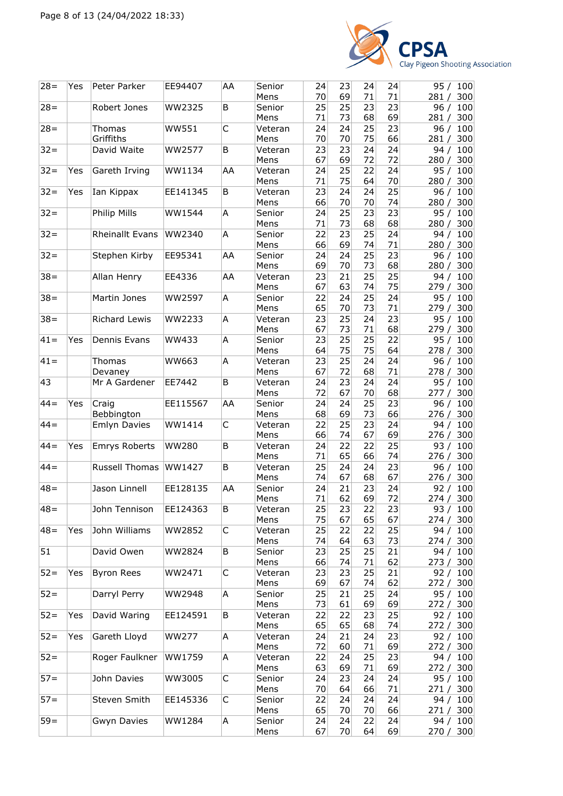

| 25<br>$28 =$<br>B<br>25<br>23<br>23<br>Robert Jones<br>WW2325<br>Senior<br>96/<br>100<br>69<br>71<br>73<br>68<br>281/<br>300<br>Mens<br>C<br>$28 =$<br>24<br>25<br>23<br>100<br><b>WW551</b><br>24<br>96/<br>Thomas<br>Veteran<br>Griffiths<br>70<br>70<br>75<br>66<br>300<br>Mens<br>281/<br>$32 =$<br>WW2577<br>23<br>David Waite<br>B<br>23<br>24<br>24<br>Veteran<br>94 /<br>100<br>69<br>72<br>72<br>67<br>280 / 300<br>Mens<br>25<br>22<br>$32 =$<br>24<br>Gareth Irving<br>WW1134<br>AA<br>Veteran<br>24<br>Yes<br>95 /<br>100<br>75<br>70<br>71<br>64<br>Mens<br>280/<br>300<br>$32 =$<br>25<br>Ian Kippax<br>23<br>24<br>24<br>100<br>EE141345<br>B<br>96/<br>Yes<br>Veteran<br>66<br>70<br>70<br>74<br>280/<br>300<br>Mens<br>$32 =$<br>Philip Mills<br>A<br>25<br>23<br>23<br>WW1544<br>Senior<br>24<br>95/<br>100<br>71<br>73<br>68<br>68<br>300<br>Mens<br>280/<br>$32 =$<br>23<br>25<br><b>Rheinallt Evans</b><br>WW2340<br>Α<br>Senior<br>22<br>24<br>94 /<br>100<br>66<br>69<br>74<br>71<br>Mens<br>280/<br>300<br>23<br>$32 =$<br>24<br>25<br>Stephen Kirby<br>EE95341<br>AA<br>Senior<br>24<br>100<br>96/<br>73<br>68<br>69<br>70<br>300<br>Mens<br>280/<br>25<br>25<br>$38 =$<br>AA<br>21<br>100<br>Allan Henry<br>EE4336<br>23<br>94 /<br>Veteran<br>63<br>75<br>67<br>74<br>279/<br>300<br>Mens<br>$38 =$<br>25<br>Martin Jones<br>WW2597<br>A<br>Senior<br>22<br>24<br>24<br>95/<br>100<br>71<br>65<br>70<br>73<br>Mens<br>300<br>279 /<br>25<br>23<br><b>Richard Lewis</b><br>23<br>24<br>$38 =$<br>WW2233<br>A<br>Veteran<br>95 /<br>100<br>73<br>71<br>68<br>67<br>Mens<br>279 /<br>300<br>25<br>25<br>22<br>$41 =$<br>A<br>23<br>Dennis Evans<br>WW433<br>Senior<br>95/<br>100<br>Yes<br>75<br>75<br>64<br>64<br>278/<br>Mens<br>300<br>$41 =$<br>A<br>25<br>24<br>WW663<br>23<br>24<br>96/<br>100<br>Thomas<br>Veteran<br>67<br>72<br>68<br>71<br>300<br>Mens<br>278/<br>Devaney<br>43<br>B<br>23<br>Mr A Gardener<br>EE7442<br>24<br>24<br>95/<br>Veteran<br>24<br>100<br>72<br>67<br>70<br>68<br>Mens<br>277 / 300<br>$44 =$<br>25<br>23<br>Yes<br>EE115567<br>AA<br>Senior<br>24<br>24<br>Craig<br>96 /<br>100<br>69<br>73<br>Bebbington<br>68<br>66<br>300<br>Mens<br>276/<br>25<br>23<br>$44 =$<br>C<br>22<br>100<br>WW1414<br>24<br><b>Emlyn Davies</b><br>Veteran<br>94 /<br>66<br>67<br>69<br>74<br>276/<br>300<br>Mens<br>$44 =$<br>B<br>22<br>22<br>25<br>Yes<br>Emrys Roberts<br><b>WW280</b><br>Veteran<br>24<br>93/<br>100<br>65<br>66<br>74<br>300<br>Mens<br>71<br>276/<br>Russell Thomas<br>24<br>23<br>$44 =$<br>WW1427<br>B<br>Veteran<br>25<br>24<br>100<br>96 /<br>67<br>68<br>74<br>67<br>Mens<br>300<br>276 /<br>Jason Linnell<br>EE128135<br>21<br>23<br>24<br>$48 =$<br>AA<br>Senior<br>24<br>100<br>92/<br>62<br>69<br>72<br>71<br>300<br>Mens<br>274/<br>$ 48=$<br>John Tennison<br>В<br>25<br>23<br>22<br>93 / 100<br>EE124363<br>Veteran<br>23<br>75<br>67<br>65<br>Mens<br>67<br>274/<br>300<br>John Williams<br>$48 =$<br>WW2852<br>C<br>25<br>22<br>Yes<br>Veteran<br>22<br>25<br>94 /<br>100<br>63<br>74<br>64<br>73<br>300<br>Mens<br>274 /<br>51<br>25<br>David Owen<br>WW2824<br>25<br>21<br>В<br>Senior<br>23<br>94/<br>100<br>66<br>74<br>71<br>62<br>Mens<br>273 / 300<br>23<br>25<br>$52 =$<br><b>Byron Rees</b><br>С<br>23<br>21<br>Yes<br>WW2471<br>92 / 100<br>Veteran<br>69<br>67<br>62<br>Mens<br>74<br>272/<br>300<br>25<br>$52 =$<br>Darryl Perry<br>A<br>25<br>21<br>95/<br>WW2948<br>Senior<br>24<br>100<br>61<br>Mens<br>73<br>69<br>69<br>272 / 300<br>$52 =$<br>David Waring<br>22<br>23<br>25<br>Yes<br>EE124591<br>Veteran<br>22<br>92/<br>100<br>B<br>65<br>65<br>Mens<br>68<br>74<br>272 / 300<br>Gareth Lloyd<br>$52 =$<br><b>WW277</b><br>21<br>23<br>Yes<br>A<br>Veteran<br>24<br>24<br>92 / 100<br>60<br>71<br>69<br>72<br>272 / 300<br>Mens<br>$52 =$<br>Roger Faulkner<br>A<br>22<br>24<br>25<br>23<br>WW1759<br>94 / 100<br>Veteran<br>69<br>71<br>69<br>63<br>272 /<br>300<br>Mens<br>C<br>$57 =$<br>John Davies<br>WW3005<br>24<br>23<br>24<br>24<br>95/<br>100<br>Senior<br>66<br>Mens<br>70<br>64<br>71<br>300<br>271 /<br>$57 =$<br>Steven Smith<br>EE145336<br>C<br>Senior<br>22<br>24<br>24<br>24<br>94 / 100<br>65<br>70<br>70<br>66<br>Mens<br>271 / 300<br>$59=$<br>Gwyn Davies<br>Senior<br>24<br>22<br>WW1284<br>Α<br>24<br>24<br>94 / 100<br>70<br>64<br>69<br>Mens<br>67<br>270 / 300 | $28 =$ | Yes | Peter Parker | EE94407 | AA | Senior<br>Mens | 24<br>70 | 23<br>69 | 24<br>71 | 24<br>71 | 95 / 100<br>300<br>281/ |
|----------------------------------------------------------------------------------------------------------------------------------------------------------------------------------------------------------------------------------------------------------------------------------------------------------------------------------------------------------------------------------------------------------------------------------------------------------------------------------------------------------------------------------------------------------------------------------------------------------------------------------------------------------------------------------------------------------------------------------------------------------------------------------------------------------------------------------------------------------------------------------------------------------------------------------------------------------------------------------------------------------------------------------------------------------------------------------------------------------------------------------------------------------------------------------------------------------------------------------------------------------------------------------------------------------------------------------------------------------------------------------------------------------------------------------------------------------------------------------------------------------------------------------------------------------------------------------------------------------------------------------------------------------------------------------------------------------------------------------------------------------------------------------------------------------------------------------------------------------------------------------------------------------------------------------------------------------------------------------------------------------------------------------------------------------------------------------------------------------------------------------------------------------------------------------------------------------------------------------------------------------------------------------------------------------------------------------------------------------------------------------------------------------------------------------------------------------------------------------------------------------------------------------------------------------------------------------------------------------------------------------------------------------------------------------------------------------------------------------------------------------------------------------------------------------------------------------------------------------------------------------------------------------------------------------------------------------------------------------------------------------------------------------------------------------------------------------------------------------------------------------------------------------------------------------------------------------------------------------------------------------------------------------------------------------------------------------------------------------------------------------------------------------------------------------------------------------------------------------------------------------------------------------------------------------------------------------------------------------------------------------------------------------------------------------------------------------------------------------------------------------------------------------------------------------------------------------------------------------------------------------------------------------------------------------------------------------------------------------------------------------------------------------------------------------------------------------------------------------------------------------------------------------------------------------------------------------------------------------------------------------------------------------------------------------------------------------------------------------------------------------------------|--------|-----|--------------|---------|----|----------------|----------|----------|----------|----------|-------------------------|
|                                                                                                                                                                                                                                                                                                                                                                                                                                                                                                                                                                                                                                                                                                                                                                                                                                                                                                                                                                                                                                                                                                                                                                                                                                                                                                                                                                                                                                                                                                                                                                                                                                                                                                                                                                                                                                                                                                                                                                                                                                                                                                                                                                                                                                                                                                                                                                                                                                                                                                                                                                                                                                                                                                                                                                                                                                                                                                                                                                                                                                                                                                                                                                                                                                                                                                                                                                                                                                                                                                                                                                                                                                                                                                                                                                                                                                                                                                                                                                                                                                                                                                                                                                                                                                                                                                                                                                                              |        |     |              |         |    |                |          |          |          |          |                         |
|                                                                                                                                                                                                                                                                                                                                                                                                                                                                                                                                                                                                                                                                                                                                                                                                                                                                                                                                                                                                                                                                                                                                                                                                                                                                                                                                                                                                                                                                                                                                                                                                                                                                                                                                                                                                                                                                                                                                                                                                                                                                                                                                                                                                                                                                                                                                                                                                                                                                                                                                                                                                                                                                                                                                                                                                                                                                                                                                                                                                                                                                                                                                                                                                                                                                                                                                                                                                                                                                                                                                                                                                                                                                                                                                                                                                                                                                                                                                                                                                                                                                                                                                                                                                                                                                                                                                                                                              |        |     |              |         |    |                |          |          |          |          |                         |
|                                                                                                                                                                                                                                                                                                                                                                                                                                                                                                                                                                                                                                                                                                                                                                                                                                                                                                                                                                                                                                                                                                                                                                                                                                                                                                                                                                                                                                                                                                                                                                                                                                                                                                                                                                                                                                                                                                                                                                                                                                                                                                                                                                                                                                                                                                                                                                                                                                                                                                                                                                                                                                                                                                                                                                                                                                                                                                                                                                                                                                                                                                                                                                                                                                                                                                                                                                                                                                                                                                                                                                                                                                                                                                                                                                                                                                                                                                                                                                                                                                                                                                                                                                                                                                                                                                                                                                                              |        |     |              |         |    |                |          |          |          |          |                         |
|                                                                                                                                                                                                                                                                                                                                                                                                                                                                                                                                                                                                                                                                                                                                                                                                                                                                                                                                                                                                                                                                                                                                                                                                                                                                                                                                                                                                                                                                                                                                                                                                                                                                                                                                                                                                                                                                                                                                                                                                                                                                                                                                                                                                                                                                                                                                                                                                                                                                                                                                                                                                                                                                                                                                                                                                                                                                                                                                                                                                                                                                                                                                                                                                                                                                                                                                                                                                                                                                                                                                                                                                                                                                                                                                                                                                                                                                                                                                                                                                                                                                                                                                                                                                                                                                                                                                                                                              |        |     |              |         |    |                |          |          |          |          |                         |
|                                                                                                                                                                                                                                                                                                                                                                                                                                                                                                                                                                                                                                                                                                                                                                                                                                                                                                                                                                                                                                                                                                                                                                                                                                                                                                                                                                                                                                                                                                                                                                                                                                                                                                                                                                                                                                                                                                                                                                                                                                                                                                                                                                                                                                                                                                                                                                                                                                                                                                                                                                                                                                                                                                                                                                                                                                                                                                                                                                                                                                                                                                                                                                                                                                                                                                                                                                                                                                                                                                                                                                                                                                                                                                                                                                                                                                                                                                                                                                                                                                                                                                                                                                                                                                                                                                                                                                                              |        |     |              |         |    |                |          |          |          |          |                         |
|                                                                                                                                                                                                                                                                                                                                                                                                                                                                                                                                                                                                                                                                                                                                                                                                                                                                                                                                                                                                                                                                                                                                                                                                                                                                                                                                                                                                                                                                                                                                                                                                                                                                                                                                                                                                                                                                                                                                                                                                                                                                                                                                                                                                                                                                                                                                                                                                                                                                                                                                                                                                                                                                                                                                                                                                                                                                                                                                                                                                                                                                                                                                                                                                                                                                                                                                                                                                                                                                                                                                                                                                                                                                                                                                                                                                                                                                                                                                                                                                                                                                                                                                                                                                                                                                                                                                                                                              |        |     |              |         |    |                |          |          |          |          |                         |
|                                                                                                                                                                                                                                                                                                                                                                                                                                                                                                                                                                                                                                                                                                                                                                                                                                                                                                                                                                                                                                                                                                                                                                                                                                                                                                                                                                                                                                                                                                                                                                                                                                                                                                                                                                                                                                                                                                                                                                                                                                                                                                                                                                                                                                                                                                                                                                                                                                                                                                                                                                                                                                                                                                                                                                                                                                                                                                                                                                                                                                                                                                                                                                                                                                                                                                                                                                                                                                                                                                                                                                                                                                                                                                                                                                                                                                                                                                                                                                                                                                                                                                                                                                                                                                                                                                                                                                                              |        |     |              |         |    |                |          |          |          |          |                         |
|                                                                                                                                                                                                                                                                                                                                                                                                                                                                                                                                                                                                                                                                                                                                                                                                                                                                                                                                                                                                                                                                                                                                                                                                                                                                                                                                                                                                                                                                                                                                                                                                                                                                                                                                                                                                                                                                                                                                                                                                                                                                                                                                                                                                                                                                                                                                                                                                                                                                                                                                                                                                                                                                                                                                                                                                                                                                                                                                                                                                                                                                                                                                                                                                                                                                                                                                                                                                                                                                                                                                                                                                                                                                                                                                                                                                                                                                                                                                                                                                                                                                                                                                                                                                                                                                                                                                                                                              |        |     |              |         |    |                |          |          |          |          |                         |
|                                                                                                                                                                                                                                                                                                                                                                                                                                                                                                                                                                                                                                                                                                                                                                                                                                                                                                                                                                                                                                                                                                                                                                                                                                                                                                                                                                                                                                                                                                                                                                                                                                                                                                                                                                                                                                                                                                                                                                                                                                                                                                                                                                                                                                                                                                                                                                                                                                                                                                                                                                                                                                                                                                                                                                                                                                                                                                                                                                                                                                                                                                                                                                                                                                                                                                                                                                                                                                                                                                                                                                                                                                                                                                                                                                                                                                                                                                                                                                                                                                                                                                                                                                                                                                                                                                                                                                                              |        |     |              |         |    |                |          |          |          |          |                         |
|                                                                                                                                                                                                                                                                                                                                                                                                                                                                                                                                                                                                                                                                                                                                                                                                                                                                                                                                                                                                                                                                                                                                                                                                                                                                                                                                                                                                                                                                                                                                                                                                                                                                                                                                                                                                                                                                                                                                                                                                                                                                                                                                                                                                                                                                                                                                                                                                                                                                                                                                                                                                                                                                                                                                                                                                                                                                                                                                                                                                                                                                                                                                                                                                                                                                                                                                                                                                                                                                                                                                                                                                                                                                                                                                                                                                                                                                                                                                                                                                                                                                                                                                                                                                                                                                                                                                                                                              |        |     |              |         |    |                |          |          |          |          |                         |
|                                                                                                                                                                                                                                                                                                                                                                                                                                                                                                                                                                                                                                                                                                                                                                                                                                                                                                                                                                                                                                                                                                                                                                                                                                                                                                                                                                                                                                                                                                                                                                                                                                                                                                                                                                                                                                                                                                                                                                                                                                                                                                                                                                                                                                                                                                                                                                                                                                                                                                                                                                                                                                                                                                                                                                                                                                                                                                                                                                                                                                                                                                                                                                                                                                                                                                                                                                                                                                                                                                                                                                                                                                                                                                                                                                                                                                                                                                                                                                                                                                                                                                                                                                                                                                                                                                                                                                                              |        |     |              |         |    |                |          |          |          |          |                         |
|                                                                                                                                                                                                                                                                                                                                                                                                                                                                                                                                                                                                                                                                                                                                                                                                                                                                                                                                                                                                                                                                                                                                                                                                                                                                                                                                                                                                                                                                                                                                                                                                                                                                                                                                                                                                                                                                                                                                                                                                                                                                                                                                                                                                                                                                                                                                                                                                                                                                                                                                                                                                                                                                                                                                                                                                                                                                                                                                                                                                                                                                                                                                                                                                                                                                                                                                                                                                                                                                                                                                                                                                                                                                                                                                                                                                                                                                                                                                                                                                                                                                                                                                                                                                                                                                                                                                                                                              |        |     |              |         |    |                |          |          |          |          |                         |
|                                                                                                                                                                                                                                                                                                                                                                                                                                                                                                                                                                                                                                                                                                                                                                                                                                                                                                                                                                                                                                                                                                                                                                                                                                                                                                                                                                                                                                                                                                                                                                                                                                                                                                                                                                                                                                                                                                                                                                                                                                                                                                                                                                                                                                                                                                                                                                                                                                                                                                                                                                                                                                                                                                                                                                                                                                                                                                                                                                                                                                                                                                                                                                                                                                                                                                                                                                                                                                                                                                                                                                                                                                                                                                                                                                                                                                                                                                                                                                                                                                                                                                                                                                                                                                                                                                                                                                                              |        |     |              |         |    |                |          |          |          |          |                         |
|                                                                                                                                                                                                                                                                                                                                                                                                                                                                                                                                                                                                                                                                                                                                                                                                                                                                                                                                                                                                                                                                                                                                                                                                                                                                                                                                                                                                                                                                                                                                                                                                                                                                                                                                                                                                                                                                                                                                                                                                                                                                                                                                                                                                                                                                                                                                                                                                                                                                                                                                                                                                                                                                                                                                                                                                                                                                                                                                                                                                                                                                                                                                                                                                                                                                                                                                                                                                                                                                                                                                                                                                                                                                                                                                                                                                                                                                                                                                                                                                                                                                                                                                                                                                                                                                                                                                                                                              |        |     |              |         |    |                |          |          |          |          |                         |
|                                                                                                                                                                                                                                                                                                                                                                                                                                                                                                                                                                                                                                                                                                                                                                                                                                                                                                                                                                                                                                                                                                                                                                                                                                                                                                                                                                                                                                                                                                                                                                                                                                                                                                                                                                                                                                                                                                                                                                                                                                                                                                                                                                                                                                                                                                                                                                                                                                                                                                                                                                                                                                                                                                                                                                                                                                                                                                                                                                                                                                                                                                                                                                                                                                                                                                                                                                                                                                                                                                                                                                                                                                                                                                                                                                                                                                                                                                                                                                                                                                                                                                                                                                                                                                                                                                                                                                                              |        |     |              |         |    |                |          |          |          |          |                         |
|                                                                                                                                                                                                                                                                                                                                                                                                                                                                                                                                                                                                                                                                                                                                                                                                                                                                                                                                                                                                                                                                                                                                                                                                                                                                                                                                                                                                                                                                                                                                                                                                                                                                                                                                                                                                                                                                                                                                                                                                                                                                                                                                                                                                                                                                                                                                                                                                                                                                                                                                                                                                                                                                                                                                                                                                                                                                                                                                                                                                                                                                                                                                                                                                                                                                                                                                                                                                                                                                                                                                                                                                                                                                                                                                                                                                                                                                                                                                                                                                                                                                                                                                                                                                                                                                                                                                                                                              |        |     |              |         |    |                |          |          |          |          |                         |
|                                                                                                                                                                                                                                                                                                                                                                                                                                                                                                                                                                                                                                                                                                                                                                                                                                                                                                                                                                                                                                                                                                                                                                                                                                                                                                                                                                                                                                                                                                                                                                                                                                                                                                                                                                                                                                                                                                                                                                                                                                                                                                                                                                                                                                                                                                                                                                                                                                                                                                                                                                                                                                                                                                                                                                                                                                                                                                                                                                                                                                                                                                                                                                                                                                                                                                                                                                                                                                                                                                                                                                                                                                                                                                                                                                                                                                                                                                                                                                                                                                                                                                                                                                                                                                                                                                                                                                                              |        |     |              |         |    |                |          |          |          |          |                         |
|                                                                                                                                                                                                                                                                                                                                                                                                                                                                                                                                                                                                                                                                                                                                                                                                                                                                                                                                                                                                                                                                                                                                                                                                                                                                                                                                                                                                                                                                                                                                                                                                                                                                                                                                                                                                                                                                                                                                                                                                                                                                                                                                                                                                                                                                                                                                                                                                                                                                                                                                                                                                                                                                                                                                                                                                                                                                                                                                                                                                                                                                                                                                                                                                                                                                                                                                                                                                                                                                                                                                                                                                                                                                                                                                                                                                                                                                                                                                                                                                                                                                                                                                                                                                                                                                                                                                                                                              |        |     |              |         |    |                |          |          |          |          |                         |
|                                                                                                                                                                                                                                                                                                                                                                                                                                                                                                                                                                                                                                                                                                                                                                                                                                                                                                                                                                                                                                                                                                                                                                                                                                                                                                                                                                                                                                                                                                                                                                                                                                                                                                                                                                                                                                                                                                                                                                                                                                                                                                                                                                                                                                                                                                                                                                                                                                                                                                                                                                                                                                                                                                                                                                                                                                                                                                                                                                                                                                                                                                                                                                                                                                                                                                                                                                                                                                                                                                                                                                                                                                                                                                                                                                                                                                                                                                                                                                                                                                                                                                                                                                                                                                                                                                                                                                                              |        |     |              |         |    |                |          |          |          |          |                         |
|                                                                                                                                                                                                                                                                                                                                                                                                                                                                                                                                                                                                                                                                                                                                                                                                                                                                                                                                                                                                                                                                                                                                                                                                                                                                                                                                                                                                                                                                                                                                                                                                                                                                                                                                                                                                                                                                                                                                                                                                                                                                                                                                                                                                                                                                                                                                                                                                                                                                                                                                                                                                                                                                                                                                                                                                                                                                                                                                                                                                                                                                                                                                                                                                                                                                                                                                                                                                                                                                                                                                                                                                                                                                                                                                                                                                                                                                                                                                                                                                                                                                                                                                                                                                                                                                                                                                                                                              |        |     |              |         |    |                |          |          |          |          |                         |
|                                                                                                                                                                                                                                                                                                                                                                                                                                                                                                                                                                                                                                                                                                                                                                                                                                                                                                                                                                                                                                                                                                                                                                                                                                                                                                                                                                                                                                                                                                                                                                                                                                                                                                                                                                                                                                                                                                                                                                                                                                                                                                                                                                                                                                                                                                                                                                                                                                                                                                                                                                                                                                                                                                                                                                                                                                                                                                                                                                                                                                                                                                                                                                                                                                                                                                                                                                                                                                                                                                                                                                                                                                                                                                                                                                                                                                                                                                                                                                                                                                                                                                                                                                                                                                                                                                                                                                                              |        |     |              |         |    |                |          |          |          |          |                         |
|                                                                                                                                                                                                                                                                                                                                                                                                                                                                                                                                                                                                                                                                                                                                                                                                                                                                                                                                                                                                                                                                                                                                                                                                                                                                                                                                                                                                                                                                                                                                                                                                                                                                                                                                                                                                                                                                                                                                                                                                                                                                                                                                                                                                                                                                                                                                                                                                                                                                                                                                                                                                                                                                                                                                                                                                                                                                                                                                                                                                                                                                                                                                                                                                                                                                                                                                                                                                                                                                                                                                                                                                                                                                                                                                                                                                                                                                                                                                                                                                                                                                                                                                                                                                                                                                                                                                                                                              |        |     |              |         |    |                |          |          |          |          |                         |
|                                                                                                                                                                                                                                                                                                                                                                                                                                                                                                                                                                                                                                                                                                                                                                                                                                                                                                                                                                                                                                                                                                                                                                                                                                                                                                                                                                                                                                                                                                                                                                                                                                                                                                                                                                                                                                                                                                                                                                                                                                                                                                                                                                                                                                                                                                                                                                                                                                                                                                                                                                                                                                                                                                                                                                                                                                                                                                                                                                                                                                                                                                                                                                                                                                                                                                                                                                                                                                                                                                                                                                                                                                                                                                                                                                                                                                                                                                                                                                                                                                                                                                                                                                                                                                                                                                                                                                                              |        |     |              |         |    |                |          |          |          |          |                         |
|                                                                                                                                                                                                                                                                                                                                                                                                                                                                                                                                                                                                                                                                                                                                                                                                                                                                                                                                                                                                                                                                                                                                                                                                                                                                                                                                                                                                                                                                                                                                                                                                                                                                                                                                                                                                                                                                                                                                                                                                                                                                                                                                                                                                                                                                                                                                                                                                                                                                                                                                                                                                                                                                                                                                                                                                                                                                                                                                                                                                                                                                                                                                                                                                                                                                                                                                                                                                                                                                                                                                                                                                                                                                                                                                                                                                                                                                                                                                                                                                                                                                                                                                                                                                                                                                                                                                                                                              |        |     |              |         |    |                |          |          |          |          |                         |
|                                                                                                                                                                                                                                                                                                                                                                                                                                                                                                                                                                                                                                                                                                                                                                                                                                                                                                                                                                                                                                                                                                                                                                                                                                                                                                                                                                                                                                                                                                                                                                                                                                                                                                                                                                                                                                                                                                                                                                                                                                                                                                                                                                                                                                                                                                                                                                                                                                                                                                                                                                                                                                                                                                                                                                                                                                                                                                                                                                                                                                                                                                                                                                                                                                                                                                                                                                                                                                                                                                                                                                                                                                                                                                                                                                                                                                                                                                                                                                                                                                                                                                                                                                                                                                                                                                                                                                                              |        |     |              |         |    |                |          |          |          |          |                         |
|                                                                                                                                                                                                                                                                                                                                                                                                                                                                                                                                                                                                                                                                                                                                                                                                                                                                                                                                                                                                                                                                                                                                                                                                                                                                                                                                                                                                                                                                                                                                                                                                                                                                                                                                                                                                                                                                                                                                                                                                                                                                                                                                                                                                                                                                                                                                                                                                                                                                                                                                                                                                                                                                                                                                                                                                                                                                                                                                                                                                                                                                                                                                                                                                                                                                                                                                                                                                                                                                                                                                                                                                                                                                                                                                                                                                                                                                                                                                                                                                                                                                                                                                                                                                                                                                                                                                                                                              |        |     |              |         |    |                |          |          |          |          |                         |
|                                                                                                                                                                                                                                                                                                                                                                                                                                                                                                                                                                                                                                                                                                                                                                                                                                                                                                                                                                                                                                                                                                                                                                                                                                                                                                                                                                                                                                                                                                                                                                                                                                                                                                                                                                                                                                                                                                                                                                                                                                                                                                                                                                                                                                                                                                                                                                                                                                                                                                                                                                                                                                                                                                                                                                                                                                                                                                                                                                                                                                                                                                                                                                                                                                                                                                                                                                                                                                                                                                                                                                                                                                                                                                                                                                                                                                                                                                                                                                                                                                                                                                                                                                                                                                                                                                                                                                                              |        |     |              |         |    |                |          |          |          |          |                         |
|                                                                                                                                                                                                                                                                                                                                                                                                                                                                                                                                                                                                                                                                                                                                                                                                                                                                                                                                                                                                                                                                                                                                                                                                                                                                                                                                                                                                                                                                                                                                                                                                                                                                                                                                                                                                                                                                                                                                                                                                                                                                                                                                                                                                                                                                                                                                                                                                                                                                                                                                                                                                                                                                                                                                                                                                                                                                                                                                                                                                                                                                                                                                                                                                                                                                                                                                                                                                                                                                                                                                                                                                                                                                                                                                                                                                                                                                                                                                                                                                                                                                                                                                                                                                                                                                                                                                                                                              |        |     |              |         |    |                |          |          |          |          |                         |
|                                                                                                                                                                                                                                                                                                                                                                                                                                                                                                                                                                                                                                                                                                                                                                                                                                                                                                                                                                                                                                                                                                                                                                                                                                                                                                                                                                                                                                                                                                                                                                                                                                                                                                                                                                                                                                                                                                                                                                                                                                                                                                                                                                                                                                                                                                                                                                                                                                                                                                                                                                                                                                                                                                                                                                                                                                                                                                                                                                                                                                                                                                                                                                                                                                                                                                                                                                                                                                                                                                                                                                                                                                                                                                                                                                                                                                                                                                                                                                                                                                                                                                                                                                                                                                                                                                                                                                                              |        |     |              |         |    |                |          |          |          |          |                         |
|                                                                                                                                                                                                                                                                                                                                                                                                                                                                                                                                                                                                                                                                                                                                                                                                                                                                                                                                                                                                                                                                                                                                                                                                                                                                                                                                                                                                                                                                                                                                                                                                                                                                                                                                                                                                                                                                                                                                                                                                                                                                                                                                                                                                                                                                                                                                                                                                                                                                                                                                                                                                                                                                                                                                                                                                                                                                                                                                                                                                                                                                                                                                                                                                                                                                                                                                                                                                                                                                                                                                                                                                                                                                                                                                                                                                                                                                                                                                                                                                                                                                                                                                                                                                                                                                                                                                                                                              |        |     |              |         |    |                |          |          |          |          |                         |
|                                                                                                                                                                                                                                                                                                                                                                                                                                                                                                                                                                                                                                                                                                                                                                                                                                                                                                                                                                                                                                                                                                                                                                                                                                                                                                                                                                                                                                                                                                                                                                                                                                                                                                                                                                                                                                                                                                                                                                                                                                                                                                                                                                                                                                                                                                                                                                                                                                                                                                                                                                                                                                                                                                                                                                                                                                                                                                                                                                                                                                                                                                                                                                                                                                                                                                                                                                                                                                                                                                                                                                                                                                                                                                                                                                                                                                                                                                                                                                                                                                                                                                                                                                                                                                                                                                                                                                                              |        |     |              |         |    |                |          |          |          |          |                         |
|                                                                                                                                                                                                                                                                                                                                                                                                                                                                                                                                                                                                                                                                                                                                                                                                                                                                                                                                                                                                                                                                                                                                                                                                                                                                                                                                                                                                                                                                                                                                                                                                                                                                                                                                                                                                                                                                                                                                                                                                                                                                                                                                                                                                                                                                                                                                                                                                                                                                                                                                                                                                                                                                                                                                                                                                                                                                                                                                                                                                                                                                                                                                                                                                                                                                                                                                                                                                                                                                                                                                                                                                                                                                                                                                                                                                                                                                                                                                                                                                                                                                                                                                                                                                                                                                                                                                                                                              |        |     |              |         |    |                |          |          |          |          |                         |
|                                                                                                                                                                                                                                                                                                                                                                                                                                                                                                                                                                                                                                                                                                                                                                                                                                                                                                                                                                                                                                                                                                                                                                                                                                                                                                                                                                                                                                                                                                                                                                                                                                                                                                                                                                                                                                                                                                                                                                                                                                                                                                                                                                                                                                                                                                                                                                                                                                                                                                                                                                                                                                                                                                                                                                                                                                                                                                                                                                                                                                                                                                                                                                                                                                                                                                                                                                                                                                                                                                                                                                                                                                                                                                                                                                                                                                                                                                                                                                                                                                                                                                                                                                                                                                                                                                                                                                                              |        |     |              |         |    |                |          |          |          |          |                         |
|                                                                                                                                                                                                                                                                                                                                                                                                                                                                                                                                                                                                                                                                                                                                                                                                                                                                                                                                                                                                                                                                                                                                                                                                                                                                                                                                                                                                                                                                                                                                                                                                                                                                                                                                                                                                                                                                                                                                                                                                                                                                                                                                                                                                                                                                                                                                                                                                                                                                                                                                                                                                                                                                                                                                                                                                                                                                                                                                                                                                                                                                                                                                                                                                                                                                                                                                                                                                                                                                                                                                                                                                                                                                                                                                                                                                                                                                                                                                                                                                                                                                                                                                                                                                                                                                                                                                                                                              |        |     |              |         |    |                |          |          |          |          |                         |
|                                                                                                                                                                                                                                                                                                                                                                                                                                                                                                                                                                                                                                                                                                                                                                                                                                                                                                                                                                                                                                                                                                                                                                                                                                                                                                                                                                                                                                                                                                                                                                                                                                                                                                                                                                                                                                                                                                                                                                                                                                                                                                                                                                                                                                                                                                                                                                                                                                                                                                                                                                                                                                                                                                                                                                                                                                                                                                                                                                                                                                                                                                                                                                                                                                                                                                                                                                                                                                                                                                                                                                                                                                                                                                                                                                                                                                                                                                                                                                                                                                                                                                                                                                                                                                                                                                                                                                                              |        |     |              |         |    |                |          |          |          |          |                         |
|                                                                                                                                                                                                                                                                                                                                                                                                                                                                                                                                                                                                                                                                                                                                                                                                                                                                                                                                                                                                                                                                                                                                                                                                                                                                                                                                                                                                                                                                                                                                                                                                                                                                                                                                                                                                                                                                                                                                                                                                                                                                                                                                                                                                                                                                                                                                                                                                                                                                                                                                                                                                                                                                                                                                                                                                                                                                                                                                                                                                                                                                                                                                                                                                                                                                                                                                                                                                                                                                                                                                                                                                                                                                                                                                                                                                                                                                                                                                                                                                                                                                                                                                                                                                                                                                                                                                                                                              |        |     |              |         |    |                |          |          |          |          |                         |
|                                                                                                                                                                                                                                                                                                                                                                                                                                                                                                                                                                                                                                                                                                                                                                                                                                                                                                                                                                                                                                                                                                                                                                                                                                                                                                                                                                                                                                                                                                                                                                                                                                                                                                                                                                                                                                                                                                                                                                                                                                                                                                                                                                                                                                                                                                                                                                                                                                                                                                                                                                                                                                                                                                                                                                                                                                                                                                                                                                                                                                                                                                                                                                                                                                                                                                                                                                                                                                                                                                                                                                                                                                                                                                                                                                                                                                                                                                                                                                                                                                                                                                                                                                                                                                                                                                                                                                                              |        |     |              |         |    |                |          |          |          |          |                         |
|                                                                                                                                                                                                                                                                                                                                                                                                                                                                                                                                                                                                                                                                                                                                                                                                                                                                                                                                                                                                                                                                                                                                                                                                                                                                                                                                                                                                                                                                                                                                                                                                                                                                                                                                                                                                                                                                                                                                                                                                                                                                                                                                                                                                                                                                                                                                                                                                                                                                                                                                                                                                                                                                                                                                                                                                                                                                                                                                                                                                                                                                                                                                                                                                                                                                                                                                                                                                                                                                                                                                                                                                                                                                                                                                                                                                                                                                                                                                                                                                                                                                                                                                                                                                                                                                                                                                                                                              |        |     |              |         |    |                |          |          |          |          |                         |
|                                                                                                                                                                                                                                                                                                                                                                                                                                                                                                                                                                                                                                                                                                                                                                                                                                                                                                                                                                                                                                                                                                                                                                                                                                                                                                                                                                                                                                                                                                                                                                                                                                                                                                                                                                                                                                                                                                                                                                                                                                                                                                                                                                                                                                                                                                                                                                                                                                                                                                                                                                                                                                                                                                                                                                                                                                                                                                                                                                                                                                                                                                                                                                                                                                                                                                                                                                                                                                                                                                                                                                                                                                                                                                                                                                                                                                                                                                                                                                                                                                                                                                                                                                                                                                                                                                                                                                                              |        |     |              |         |    |                |          |          |          |          |                         |
|                                                                                                                                                                                                                                                                                                                                                                                                                                                                                                                                                                                                                                                                                                                                                                                                                                                                                                                                                                                                                                                                                                                                                                                                                                                                                                                                                                                                                                                                                                                                                                                                                                                                                                                                                                                                                                                                                                                                                                                                                                                                                                                                                                                                                                                                                                                                                                                                                                                                                                                                                                                                                                                                                                                                                                                                                                                                                                                                                                                                                                                                                                                                                                                                                                                                                                                                                                                                                                                                                                                                                                                                                                                                                                                                                                                                                                                                                                                                                                                                                                                                                                                                                                                                                                                                                                                                                                                              |        |     |              |         |    |                |          |          |          |          |                         |
|                                                                                                                                                                                                                                                                                                                                                                                                                                                                                                                                                                                                                                                                                                                                                                                                                                                                                                                                                                                                                                                                                                                                                                                                                                                                                                                                                                                                                                                                                                                                                                                                                                                                                                                                                                                                                                                                                                                                                                                                                                                                                                                                                                                                                                                                                                                                                                                                                                                                                                                                                                                                                                                                                                                                                                                                                                                                                                                                                                                                                                                                                                                                                                                                                                                                                                                                                                                                                                                                                                                                                                                                                                                                                                                                                                                                                                                                                                                                                                                                                                                                                                                                                                                                                                                                                                                                                                                              |        |     |              |         |    |                |          |          |          |          |                         |
|                                                                                                                                                                                                                                                                                                                                                                                                                                                                                                                                                                                                                                                                                                                                                                                                                                                                                                                                                                                                                                                                                                                                                                                                                                                                                                                                                                                                                                                                                                                                                                                                                                                                                                                                                                                                                                                                                                                                                                                                                                                                                                                                                                                                                                                                                                                                                                                                                                                                                                                                                                                                                                                                                                                                                                                                                                                                                                                                                                                                                                                                                                                                                                                                                                                                                                                                                                                                                                                                                                                                                                                                                                                                                                                                                                                                                                                                                                                                                                                                                                                                                                                                                                                                                                                                                                                                                                                              |        |     |              |         |    |                |          |          |          |          |                         |
|                                                                                                                                                                                                                                                                                                                                                                                                                                                                                                                                                                                                                                                                                                                                                                                                                                                                                                                                                                                                                                                                                                                                                                                                                                                                                                                                                                                                                                                                                                                                                                                                                                                                                                                                                                                                                                                                                                                                                                                                                                                                                                                                                                                                                                                                                                                                                                                                                                                                                                                                                                                                                                                                                                                                                                                                                                                                                                                                                                                                                                                                                                                                                                                                                                                                                                                                                                                                                                                                                                                                                                                                                                                                                                                                                                                                                                                                                                                                                                                                                                                                                                                                                                                                                                                                                                                                                                                              |        |     |              |         |    |                |          |          |          |          |                         |
|                                                                                                                                                                                                                                                                                                                                                                                                                                                                                                                                                                                                                                                                                                                                                                                                                                                                                                                                                                                                                                                                                                                                                                                                                                                                                                                                                                                                                                                                                                                                                                                                                                                                                                                                                                                                                                                                                                                                                                                                                                                                                                                                                                                                                                                                                                                                                                                                                                                                                                                                                                                                                                                                                                                                                                                                                                                                                                                                                                                                                                                                                                                                                                                                                                                                                                                                                                                                                                                                                                                                                                                                                                                                                                                                                                                                                                                                                                                                                                                                                                                                                                                                                                                                                                                                                                                                                                                              |        |     |              |         |    |                |          |          |          |          |                         |
|                                                                                                                                                                                                                                                                                                                                                                                                                                                                                                                                                                                                                                                                                                                                                                                                                                                                                                                                                                                                                                                                                                                                                                                                                                                                                                                                                                                                                                                                                                                                                                                                                                                                                                                                                                                                                                                                                                                                                                                                                                                                                                                                                                                                                                                                                                                                                                                                                                                                                                                                                                                                                                                                                                                                                                                                                                                                                                                                                                                                                                                                                                                                                                                                                                                                                                                                                                                                                                                                                                                                                                                                                                                                                                                                                                                                                                                                                                                                                                                                                                                                                                                                                                                                                                                                                                                                                                                              |        |     |              |         |    |                |          |          |          |          |                         |
|                                                                                                                                                                                                                                                                                                                                                                                                                                                                                                                                                                                                                                                                                                                                                                                                                                                                                                                                                                                                                                                                                                                                                                                                                                                                                                                                                                                                                                                                                                                                                                                                                                                                                                                                                                                                                                                                                                                                                                                                                                                                                                                                                                                                                                                                                                                                                                                                                                                                                                                                                                                                                                                                                                                                                                                                                                                                                                                                                                                                                                                                                                                                                                                                                                                                                                                                                                                                                                                                                                                                                                                                                                                                                                                                                                                                                                                                                                                                                                                                                                                                                                                                                                                                                                                                                                                                                                                              |        |     |              |         |    |                |          |          |          |          |                         |
|                                                                                                                                                                                                                                                                                                                                                                                                                                                                                                                                                                                                                                                                                                                                                                                                                                                                                                                                                                                                                                                                                                                                                                                                                                                                                                                                                                                                                                                                                                                                                                                                                                                                                                                                                                                                                                                                                                                                                                                                                                                                                                                                                                                                                                                                                                                                                                                                                                                                                                                                                                                                                                                                                                                                                                                                                                                                                                                                                                                                                                                                                                                                                                                                                                                                                                                                                                                                                                                                                                                                                                                                                                                                                                                                                                                                                                                                                                                                                                                                                                                                                                                                                                                                                                                                                                                                                                                              |        |     |              |         |    |                |          |          |          |          |                         |
|                                                                                                                                                                                                                                                                                                                                                                                                                                                                                                                                                                                                                                                                                                                                                                                                                                                                                                                                                                                                                                                                                                                                                                                                                                                                                                                                                                                                                                                                                                                                                                                                                                                                                                                                                                                                                                                                                                                                                                                                                                                                                                                                                                                                                                                                                                                                                                                                                                                                                                                                                                                                                                                                                                                                                                                                                                                                                                                                                                                                                                                                                                                                                                                                                                                                                                                                                                                                                                                                                                                                                                                                                                                                                                                                                                                                                                                                                                                                                                                                                                                                                                                                                                                                                                                                                                                                                                                              |        |     |              |         |    |                |          |          |          |          |                         |
|                                                                                                                                                                                                                                                                                                                                                                                                                                                                                                                                                                                                                                                                                                                                                                                                                                                                                                                                                                                                                                                                                                                                                                                                                                                                                                                                                                                                                                                                                                                                                                                                                                                                                                                                                                                                                                                                                                                                                                                                                                                                                                                                                                                                                                                                                                                                                                                                                                                                                                                                                                                                                                                                                                                                                                                                                                                                                                                                                                                                                                                                                                                                                                                                                                                                                                                                                                                                                                                                                                                                                                                                                                                                                                                                                                                                                                                                                                                                                                                                                                                                                                                                                                                                                                                                                                                                                                                              |        |     |              |         |    |                |          |          |          |          |                         |
|                                                                                                                                                                                                                                                                                                                                                                                                                                                                                                                                                                                                                                                                                                                                                                                                                                                                                                                                                                                                                                                                                                                                                                                                                                                                                                                                                                                                                                                                                                                                                                                                                                                                                                                                                                                                                                                                                                                                                                                                                                                                                                                                                                                                                                                                                                                                                                                                                                                                                                                                                                                                                                                                                                                                                                                                                                                                                                                                                                                                                                                                                                                                                                                                                                                                                                                                                                                                                                                                                                                                                                                                                                                                                                                                                                                                                                                                                                                                                                                                                                                                                                                                                                                                                                                                                                                                                                                              |        |     |              |         |    |                |          |          |          |          |                         |
|                                                                                                                                                                                                                                                                                                                                                                                                                                                                                                                                                                                                                                                                                                                                                                                                                                                                                                                                                                                                                                                                                                                                                                                                                                                                                                                                                                                                                                                                                                                                                                                                                                                                                                                                                                                                                                                                                                                                                                                                                                                                                                                                                                                                                                                                                                                                                                                                                                                                                                                                                                                                                                                                                                                                                                                                                                                                                                                                                                                                                                                                                                                                                                                                                                                                                                                                                                                                                                                                                                                                                                                                                                                                                                                                                                                                                                                                                                                                                                                                                                                                                                                                                                                                                                                                                                                                                                                              |        |     |              |         |    |                |          |          |          |          |                         |
|                                                                                                                                                                                                                                                                                                                                                                                                                                                                                                                                                                                                                                                                                                                                                                                                                                                                                                                                                                                                                                                                                                                                                                                                                                                                                                                                                                                                                                                                                                                                                                                                                                                                                                                                                                                                                                                                                                                                                                                                                                                                                                                                                                                                                                                                                                                                                                                                                                                                                                                                                                                                                                                                                                                                                                                                                                                                                                                                                                                                                                                                                                                                                                                                                                                                                                                                                                                                                                                                                                                                                                                                                                                                                                                                                                                                                                                                                                                                                                                                                                                                                                                                                                                                                                                                                                                                                                                              |        |     |              |         |    |                |          |          |          |          |                         |
|                                                                                                                                                                                                                                                                                                                                                                                                                                                                                                                                                                                                                                                                                                                                                                                                                                                                                                                                                                                                                                                                                                                                                                                                                                                                                                                                                                                                                                                                                                                                                                                                                                                                                                                                                                                                                                                                                                                                                                                                                                                                                                                                                                                                                                                                                                                                                                                                                                                                                                                                                                                                                                                                                                                                                                                                                                                                                                                                                                                                                                                                                                                                                                                                                                                                                                                                                                                                                                                                                                                                                                                                                                                                                                                                                                                                                                                                                                                                                                                                                                                                                                                                                                                                                                                                                                                                                                                              |        |     |              |         |    |                |          |          |          |          |                         |
|                                                                                                                                                                                                                                                                                                                                                                                                                                                                                                                                                                                                                                                                                                                                                                                                                                                                                                                                                                                                                                                                                                                                                                                                                                                                                                                                                                                                                                                                                                                                                                                                                                                                                                                                                                                                                                                                                                                                                                                                                                                                                                                                                                                                                                                                                                                                                                                                                                                                                                                                                                                                                                                                                                                                                                                                                                                                                                                                                                                                                                                                                                                                                                                                                                                                                                                                                                                                                                                                                                                                                                                                                                                                                                                                                                                                                                                                                                                                                                                                                                                                                                                                                                                                                                                                                                                                                                                              |        |     |              |         |    |                |          |          |          |          |                         |
|                                                                                                                                                                                                                                                                                                                                                                                                                                                                                                                                                                                                                                                                                                                                                                                                                                                                                                                                                                                                                                                                                                                                                                                                                                                                                                                                                                                                                                                                                                                                                                                                                                                                                                                                                                                                                                                                                                                                                                                                                                                                                                                                                                                                                                                                                                                                                                                                                                                                                                                                                                                                                                                                                                                                                                                                                                                                                                                                                                                                                                                                                                                                                                                                                                                                                                                                                                                                                                                                                                                                                                                                                                                                                                                                                                                                                                                                                                                                                                                                                                                                                                                                                                                                                                                                                                                                                                                              |        |     |              |         |    |                |          |          |          |          |                         |
|                                                                                                                                                                                                                                                                                                                                                                                                                                                                                                                                                                                                                                                                                                                                                                                                                                                                                                                                                                                                                                                                                                                                                                                                                                                                                                                                                                                                                                                                                                                                                                                                                                                                                                                                                                                                                                                                                                                                                                                                                                                                                                                                                                                                                                                                                                                                                                                                                                                                                                                                                                                                                                                                                                                                                                                                                                                                                                                                                                                                                                                                                                                                                                                                                                                                                                                                                                                                                                                                                                                                                                                                                                                                                                                                                                                                                                                                                                                                                                                                                                                                                                                                                                                                                                                                                                                                                                                              |        |     |              |         |    |                |          |          |          |          |                         |
|                                                                                                                                                                                                                                                                                                                                                                                                                                                                                                                                                                                                                                                                                                                                                                                                                                                                                                                                                                                                                                                                                                                                                                                                                                                                                                                                                                                                                                                                                                                                                                                                                                                                                                                                                                                                                                                                                                                                                                                                                                                                                                                                                                                                                                                                                                                                                                                                                                                                                                                                                                                                                                                                                                                                                                                                                                                                                                                                                                                                                                                                                                                                                                                                                                                                                                                                                                                                                                                                                                                                                                                                                                                                                                                                                                                                                                                                                                                                                                                                                                                                                                                                                                                                                                                                                                                                                                                              |        |     |              |         |    |                |          |          |          |          |                         |
|                                                                                                                                                                                                                                                                                                                                                                                                                                                                                                                                                                                                                                                                                                                                                                                                                                                                                                                                                                                                                                                                                                                                                                                                                                                                                                                                                                                                                                                                                                                                                                                                                                                                                                                                                                                                                                                                                                                                                                                                                                                                                                                                                                                                                                                                                                                                                                                                                                                                                                                                                                                                                                                                                                                                                                                                                                                                                                                                                                                                                                                                                                                                                                                                                                                                                                                                                                                                                                                                                                                                                                                                                                                                                                                                                                                                                                                                                                                                                                                                                                                                                                                                                                                                                                                                                                                                                                                              |        |     |              |         |    |                |          |          |          |          |                         |
|                                                                                                                                                                                                                                                                                                                                                                                                                                                                                                                                                                                                                                                                                                                                                                                                                                                                                                                                                                                                                                                                                                                                                                                                                                                                                                                                                                                                                                                                                                                                                                                                                                                                                                                                                                                                                                                                                                                                                                                                                                                                                                                                                                                                                                                                                                                                                                                                                                                                                                                                                                                                                                                                                                                                                                                                                                                                                                                                                                                                                                                                                                                                                                                                                                                                                                                                                                                                                                                                                                                                                                                                                                                                                                                                                                                                                                                                                                                                                                                                                                                                                                                                                                                                                                                                                                                                                                                              |        |     |              |         |    |                |          |          |          |          |                         |
|                                                                                                                                                                                                                                                                                                                                                                                                                                                                                                                                                                                                                                                                                                                                                                                                                                                                                                                                                                                                                                                                                                                                                                                                                                                                                                                                                                                                                                                                                                                                                                                                                                                                                                                                                                                                                                                                                                                                                                                                                                                                                                                                                                                                                                                                                                                                                                                                                                                                                                                                                                                                                                                                                                                                                                                                                                                                                                                                                                                                                                                                                                                                                                                                                                                                                                                                                                                                                                                                                                                                                                                                                                                                                                                                                                                                                                                                                                                                                                                                                                                                                                                                                                                                                                                                                                                                                                                              |        |     |              |         |    |                |          |          |          |          |                         |
|                                                                                                                                                                                                                                                                                                                                                                                                                                                                                                                                                                                                                                                                                                                                                                                                                                                                                                                                                                                                                                                                                                                                                                                                                                                                                                                                                                                                                                                                                                                                                                                                                                                                                                                                                                                                                                                                                                                                                                                                                                                                                                                                                                                                                                                                                                                                                                                                                                                                                                                                                                                                                                                                                                                                                                                                                                                                                                                                                                                                                                                                                                                                                                                                                                                                                                                                                                                                                                                                                                                                                                                                                                                                                                                                                                                                                                                                                                                                                                                                                                                                                                                                                                                                                                                                                                                                                                                              |        |     |              |         |    |                |          |          |          |          |                         |
|                                                                                                                                                                                                                                                                                                                                                                                                                                                                                                                                                                                                                                                                                                                                                                                                                                                                                                                                                                                                                                                                                                                                                                                                                                                                                                                                                                                                                                                                                                                                                                                                                                                                                                                                                                                                                                                                                                                                                                                                                                                                                                                                                                                                                                                                                                                                                                                                                                                                                                                                                                                                                                                                                                                                                                                                                                                                                                                                                                                                                                                                                                                                                                                                                                                                                                                                                                                                                                                                                                                                                                                                                                                                                                                                                                                                                                                                                                                                                                                                                                                                                                                                                                                                                                                                                                                                                                                              |        |     |              |         |    |                |          |          |          |          |                         |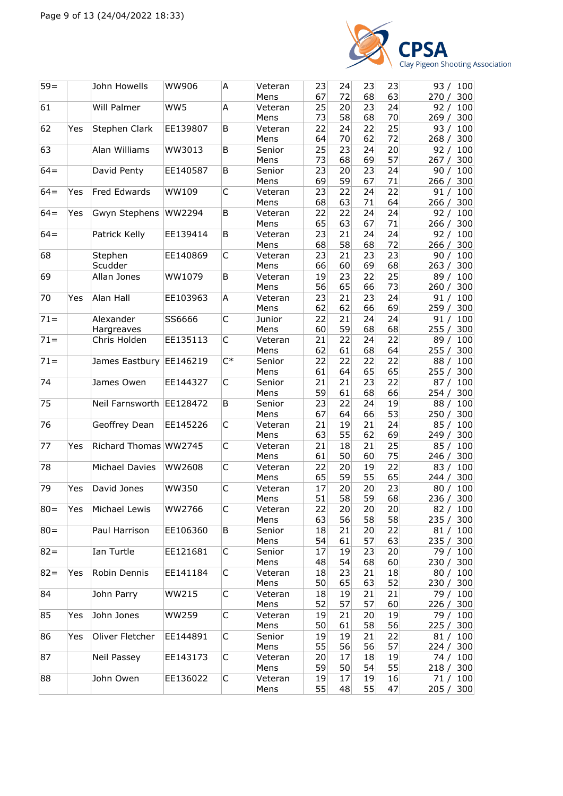

| $59=$  |     | John Howells               | <b>WW906</b> | A           | Veteran<br>Mens         | 23<br>67 | 24<br>72 | 23<br>68       | 23<br>63              | 93 / 100<br>270 / 300                  |
|--------|-----|----------------------------|--------------|-------------|-------------------------|----------|----------|----------------|-----------------------|----------------------------------------|
| 61     |     | Will Palmer                | WW5          | Α           | Veteran<br>Mens         | 25<br>73 | 20<br>58 | 23<br>68       | 24<br>70              | 100<br>92/<br>300<br>269/              |
| 62     | Yes | Stephen Clark              | EE139807     | B           | Veteran<br>Mens         | 22<br>64 | 24<br>70 | 22<br>62       | 25<br>72              | 100<br>93/<br>300<br>268/              |
| 63     |     | Alan Williams              | WW3013       | B           | Senior<br>Mens          | 25<br>73 | 23<br>68 | 24<br>69       | 20<br>57              | 92/<br>100<br>300<br>267/              |
| $64=$  |     | David Penty                | EE140587     | B           | Senior<br>Mens          | 23<br>69 | 20<br>59 | 23<br>67       | 24<br>71              | 90 /<br>100<br>266 / 300               |
| $64 =$ | Yes | <b>Fred Edwards</b>        | WW109        | $\mathsf C$ | Veteran<br>Mens         | 23<br>68 | 22<br>63 | 24<br>71       | 22<br>64              | 91/<br>100<br>300<br>266/              |
| $64 =$ | Yes | Gwyn Stephens              | WW2294       | B           | Veteran                 | 22<br>65 | 22<br>63 | 24<br>67       | 24<br>71              | 92/<br>100                             |
| $64 =$ |     | Patrick Kelly              | EE139414     | B           | Mens<br>Veteran<br>Mens | 23<br>68 | 21<br>58 | 24<br>68       | 24<br>72              | 300<br>266/<br>92/<br>100<br>266 / 300 |
| 68     |     | Stephen<br>Scudder         | EE140869     | C           | Veteran                 | 23<br>66 | 21<br>60 | 23<br>69       | 23<br>68              | 100<br>90/                             |
| 69     |     | Allan Jones                | WW1079       | B           | Mens<br>Veteran         | 19       | 23       | 22             | 25                    | 300<br>263/<br>89/<br>100              |
| 70     | Yes | Alan Hall                  | EE103963     | A           | Mens<br>Veteran         | 56<br>23 | 65<br>21 | 66<br>23       | 73<br>24              | 260/<br>300<br>91/<br>100              |
| $71 =$ |     | Alexander                  | SS6666       | C           | Mens<br>Junior          | 62<br>22 | 62<br>21 | 66<br>24<br>68 | 69<br>24<br>68        | 300<br>259/<br>91/<br>100              |
| $71 =$ |     | Hargreaves<br>Chris Holden | EE135113     | C           | Mens<br>Veteran         | 60<br>21 | 59<br>22 | 24             | 22                    | 255/<br>300<br>89 /<br>100             |
| $71 =$ |     | James Eastbury             | EE146219     | $C^*$       | Mens<br>Senior          | 62<br>22 | 61<br>22 | 68<br>22       | 64<br>22              | 255/<br>300<br>88/<br>100              |
| 74     |     | James Owen                 | EE144327     | C           | Mens<br>Senior          | 61<br>21 | 64<br>21 | 65<br>23       | 65<br>22              | 255/<br>300<br>87/<br>100              |
| 75     |     | Neil Farnsworth            | EE128472     | B           | Mens<br>Senior          | 59<br>23 | 61<br>22 | 68<br>24       | 66<br>19              | 300<br>254/<br>88/<br>100              |
| 76     |     | Geoffrey Dean              | EE145226     | C           | Mens<br>Veteran         | 67<br>21 | 64<br>19 | 66<br>21       | 53<br>24              | 250 / 300<br>85/<br>100                |
| 77     | Yes | Richard Thomas WW2745      |              | C           | Mens<br>Veteran         | 63<br>21 | 55<br>18 | 62<br>21       | 69<br>25              | 249/<br>300<br>85/<br>100              |
| 78     |     | Michael Davies             | WW2608       | C           | Mens<br>Veteran         | 61<br>22 | 50<br>20 | 60<br>19       | 75<br>22              | 300<br>246/<br>83/<br>100              |
| 79     | Yes | David Jones                | <b>WW350</b> | $\mathsf C$ | Mens<br>Veteran         | 65<br>17 | 59<br>20 | 55<br>20       | 65<br>23              | 300<br>244/<br>100<br>80/              |
| $ 80=$ | Yes | Michael Lewis              | WW2766       | C           | Mens<br>Veteran         | 51<br>22 | 58<br>20 | 59<br>20       | 68<br>20 <sub>1</sub> | 300<br>236/<br>82 / 100                |
| $80 =$ |     | Paul Harrison              | EE106360     | B           | Mens<br>Senior          | 63<br>18 | 56<br>21 | 58<br>20       | 58<br>22              | 235/<br>300<br>81/<br>100              |
| $82 =$ |     | Ian Turtle                 | EE121681     | C           | Mens<br>Senior          | 54<br>17 | 61<br>19 | 57<br>23       | 63<br>20              | 235 / 300<br>79 / 100                  |
| $82 =$ | Yes | Robin Dennis               | EE141184     | С           | Mens<br>Veteran         | 48<br>18 | 54<br>23 | 68<br>21       | 60<br>18              | 230 / 300<br>80 / 100                  |
| 84     |     | John Parry                 | <b>WW215</b> | C           | Mens<br>Veteran         | 50<br>18 | 65<br>19 | 63<br>21       | 52<br>21              | 230 / 300<br>79 / 100                  |
| 85     | Yes | John Jones                 | <b>WW259</b> | С           | Mens<br>Veteran         | 52<br>19 | 57<br>21 | 57<br>20       | 60<br>19              | 226 / 300<br>79 / 100                  |
| 86     | Yes | Oliver Fletcher            | EE144891     | С           | Mens<br>Senior          | 50<br>19 | 61<br>19 | 58<br>21       | 56<br>22              | 225 / 300<br>81 / 100                  |
| 87     |     | Neil Passey                | EE143173     | C           | Mens<br>Veteran         | 55<br>20 | 56<br>17 | 56<br>18       | 57<br>19              | 224 / 300<br>74 / 100                  |
| 88     |     | John Owen                  | EE136022     | C           | Mens<br>Veteran         | 59<br>19 | 50<br>17 | 54<br>19       | 55<br>16              | 218 / 300<br>71/100                    |
|        |     |                            |              |             | Mens                    | 55       | 48       | 55             | 47                    | 205 / 300                              |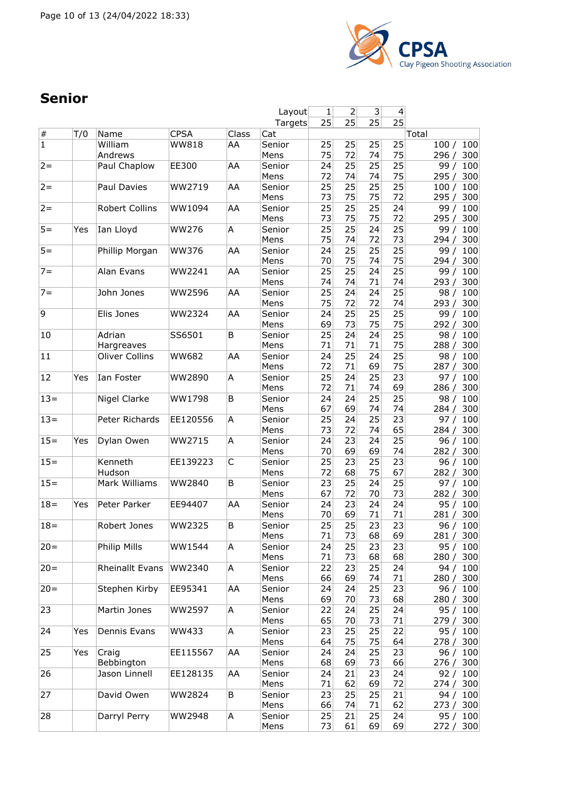

## **Senior**

|                |     |                       |              |       | Layout  | 1  | 2               | 3  | 4               |              |
|----------------|-----|-----------------------|--------------|-------|---------|----|-----------------|----|-----------------|--------------|
|                |     |                       |              |       | Targets | 25 | 25              | 25 | $\overline{25}$ |              |
| $\#$           | T/0 | Name                  | <b>CPSA</b>  | Class | Cat     |    |                 |    |                 | Total        |
| $\overline{1}$ |     | William               | WW818        | AA    | Senior  | 25 | 25              | 25 | 25              | 100<br>100/  |
|                |     | Andrews               |              |       | Mens    | 75 | 72              | 74 | 75              | 300<br>296/  |
| $2 =$          |     | Paul Chaplow          | EE300        | AA    | Senior  | 24 | 25              | 25 | 25              | 100<br>99/   |
|                |     |                       |              |       | Mens    | 72 | 74              | 74 | 75              | 295/<br>300  |
| $2 =$          |     | Paul Davies           | WW2719       | AA    | Senior  | 25 | 25              | 25 | 25              | 100<br>100/  |
|                |     |                       |              |       |         |    | 75              | 75 | 72              | 295/         |
|                |     |                       |              |       | Mens    | 73 |                 |    |                 | 300          |
| $2 =$          |     | Robert Collins        | WW1094       | AA    | Senior  | 25 | 25              | 25 | 24              | 100<br>99/   |
|                |     |                       |              |       | Mens    | 73 | 75              | 75 | 72              | 295/<br>300  |
| $5 =$          | Yes | Ian Lloyd             | <b>WW276</b> | A     | Senior  | 25 | 25              | 24 | 25              | 99 / 100     |
|                |     |                       |              |       | Mens    | 75 | 74              | 72 | 73              | 294 / 300    |
| $5 =$          |     | Phillip Morgan        | WW376        | AA    | Senior  | 24 | 25              | 25 | 25              | 100<br>99 /  |
|                |     |                       |              |       | Mens    | 70 | 75              | 74 | 75              | 300<br>294/  |
| $7 =$          |     | Alan Evans            | WW2241       | AA    | Senior  | 25 | $\overline{25}$ | 24 | $\overline{25}$ | 99/<br>100   |
|                |     |                       |              |       | Mens    | 74 | 74              | 71 | 74              | 293 / 300    |
| $7 =$          |     | John Jones            | WW2596       | AA    | Senior  | 25 | 24              | 24 | 25              | 100<br>98/   |
|                |     |                       |              |       |         |    |                 |    |                 |              |
|                |     |                       |              |       | Mens    | 75 | 72              | 72 | 74              | 293/<br>300  |
| 9              |     | Elis Jones            | WW2324       | AA    | Senior  | 24 | 25              | 25 | 25              | 99 /<br>100  |
|                |     |                       |              |       | Mens    | 69 | 73              | 75 | 75              | 300<br>292 / |
| 10             |     | Adrian                | SS6501       | B     | Senior  | 25 | 24              | 24 | 25              | 98/<br>100   |
|                |     | Hargreaves            |              |       | Mens    | 71 | 71              | 71 | 75              | 288/<br>300  |
| 11             |     | <b>Oliver Collins</b> | <b>WW682</b> | AA    | Senior  | 24 | 25              | 24 | 25              | 100<br>98/   |
|                |     |                       |              |       | Mens    | 72 | 71              | 69 | 75              | 287/<br>300  |
| 12             | Yes | Ian Foster            | WW2890       | A     | Senior  | 25 | 24              | 25 | 23              | 100<br>97 /  |
|                |     |                       |              |       |         | 72 | 71              | 74 | 69              |              |
|                |     |                       |              |       | Mens    |    |                 |    |                 | 286 /<br>300 |
| $13 =$         |     | Nigel Clarke          | WW1798       | B     | Senior  | 24 | 24              | 25 | 25              | 98/<br>100   |
|                |     |                       |              |       | Mens    | 67 | 69              | 74 | 74              | 284/<br>300  |
| $13 =$         |     | Peter Richards        | EE120556     | A     | Senior  | 25 | 24              | 25 | 23              | 100<br>97/   |
|                |     |                       |              |       | Mens    | 73 | 72              | 74 | 65              | 300<br>284/  |
| $15 =$         | Yes | Dylan Owen            | WW2715       | A     | Senior  | 24 | 23              | 24 | 25              | 96/<br>100   |
|                |     |                       |              |       | Mens    | 70 | 69              | 69 | 74              | 282/<br>300  |
| $15 =$         |     | Kenneth               | EE139223     | C     | Senior  | 25 | 23              | 25 | 23              | 96 / 100     |
|                |     | Hudson                |              |       | Mens    | 72 | 68              | 75 | 67              | 282 / 300    |
| $15 =$         |     | Mark Williams         | WW2840       | B     | Senior  | 23 | 25              | 24 | 25              | 100<br>97 /  |
|                |     |                       |              |       |         |    |                 |    |                 |              |
|                |     |                       |              |       | Mens    | 67 | 72              | 70 | 73              | 282/<br>300  |
| $18 =$         | Yes | Peter Parker          | EE94407      | AA    | Senior  | 24 | 23              | 24 | 24              | 100<br>95/   |
|                |     |                       |              |       | Mens    | 70 | 69              | 71 | 71              | 281/<br>300  |
| $18 =$         |     | Robert Jones          | WW2325       | B     | Senior  | 25 | 25              | 23 | 23              | 96/<br>100   |
|                |     |                       |              |       | Mens    | 71 | 73              | 68 | 69              | 281 / 300    |
| $20 =$         |     | Philip Mills          | WW1544       | A     | Senior  | 24 | 25              | 23 | 23              | 95 /<br>100  |
|                |     |                       |              |       | Mens    | 71 | 73              | 68 | 68              | 280 / 300    |
| $20 =$         |     | Rheinallt Evans       | WW2340       | A     | Senior  | 22 | 23              | 25 | 24              | 94 / 100     |
|                |     |                       |              |       | Mens    | 66 | 69              | 74 | 71              | 280/<br>300  |
|                |     |                       |              |       |         |    |                 | 25 |                 |              |
| $20 =$         |     | Stephen Kirby         | EE95341      | AA    | Senior  | 24 | 24              |    | 23              | 100<br>96/   |
|                |     |                       |              |       | Mens    | 69 | 70              | 73 | 68              | 280 / 300    |
| 23             |     | Martin Jones          | WW2597       | A     | Senior  | 22 | 24              | 25 | 24              | 95 / 100     |
|                |     |                       |              |       | Mens    | 65 | 70              | 73 | 71              | 279 / 300    |
| 24             | Yes | Dennis Evans          | WW433        | A     | Senior  | 23 | 25              | 25 | 22              | 95 / 100     |
|                |     |                       |              |       | Mens    | 64 | 75              | 75 | 64              | 278 / 300    |
| 25             | Yes | Craig                 | EE115567     | AA    | Senior  | 24 | 24              | 25 | 23              | 96 / 100     |
|                |     | Bebbington            |              |       | Mens    | 68 | 69              | 73 | 66              | 276/<br>300  |
| 26             |     | Jason Linnell         | EE128135     | AA    | Senior  | 24 | 21              | 23 | 24              | 100<br>92/   |
|                |     |                       |              |       | Mens    | 71 | 62              | 69 | 72              |              |
|                |     |                       |              |       |         |    |                 |    |                 | 274 / 300    |
| 27             |     | David Owen            | WW2824       | B     | Senior  | 23 | 25              | 25 | 21              | 94 / 100     |
|                |     |                       |              |       | Mens    | 66 | 74              | 71 | 62              | 273 / 300    |
| 28             |     | Darryl Perry          | WW2948       | A     | Senior  | 25 | 21              | 25 | 24              | 100<br>95 /  |
|                |     |                       |              |       | Mens    | 73 | 61              | 69 | 69              | 272/<br>300  |
|                |     |                       |              |       |         |    |                 |    |                 |              |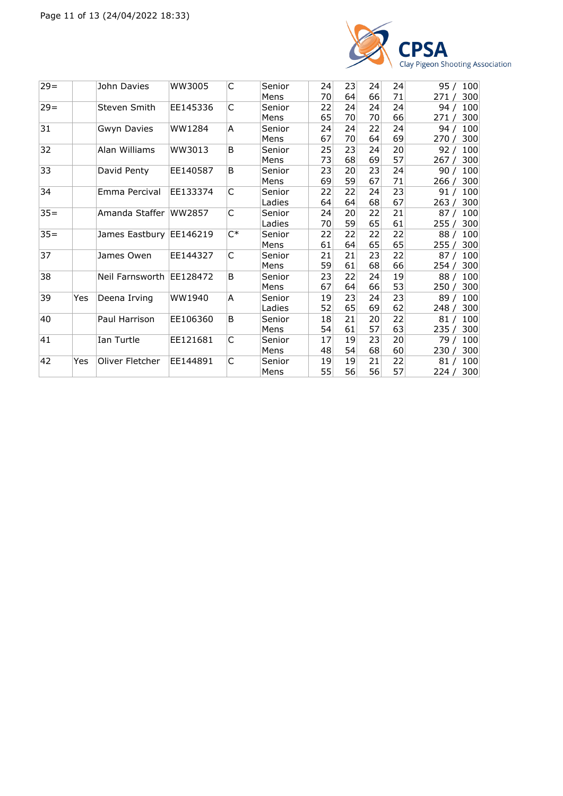

| $29=$  |     | John Davies              | WW3005   | C     | Senior | 24 | 23 | 24 | 24 | 95/<br>100  |
|--------|-----|--------------------------|----------|-------|--------|----|----|----|----|-------------|
|        |     |                          |          |       | Mens   | 70 | 64 | 66 | 71 | 300<br>271/ |
| $29 =$ |     | Steven Smith             | EE145336 | C     | Senior | 22 | 24 | 24 | 24 | 100<br>94/  |
|        |     |                          |          |       | Mens   | 65 | 70 | 70 | 66 | 300<br>271/ |
| 31     |     | Gwyn Davies              | WW1284   | A     | Senior | 24 | 24 | 22 | 24 | 100<br>94/  |
|        |     |                          |          |       | Mens   | 67 | 70 | 64 | 69 | 300<br>270/ |
| 32     |     | Alan Williams            | WW3013   | B     | Senior | 25 | 23 | 24 | 20 | 100<br>92/  |
|        |     |                          |          |       | Mens   | 73 | 68 | 69 | 57 | 300<br>267/ |
| 33     |     | David Penty              | EE140587 | B     | Senior | 23 | 20 | 23 | 24 | 100<br>90/  |
|        |     |                          |          |       | Mens   | 69 | 59 | 67 | 71 | 300<br>266/ |
| 34     |     | Emma Percival            | EE133374 | C     | Senior | 22 | 22 | 24 | 23 | 100<br>91/  |
|        |     |                          |          |       | Ladies | 64 | 64 | 68 | 67 | 300<br>263/ |
| $35=$  |     | Amanda Staffer WW2857    |          | C     | Senior | 24 | 20 | 22 | 21 | 100<br>87 / |
|        |     |                          |          |       | Ladies | 70 | 59 | 65 | 61 | 300<br>255/ |
| $35 =$ |     | James Eastbury EE146219  |          | $C^*$ | Senior | 22 | 22 | 22 | 22 | 88 /<br>100 |
|        |     |                          |          |       | Mens   | 61 | 64 | 65 | 65 | 300<br>255/ |
| 37     |     | James Owen               | EE144327 | C     | Senior | 21 | 21 | 23 | 22 | 100<br>87/  |
|        |     |                          |          |       | Mens   | 59 | 61 | 68 | 66 | 300<br>254/ |
| 38     |     | Neil Farnsworth EE128472 |          | B     | Senior | 23 | 22 | 24 | 19 | 100<br>88/  |
|        |     |                          |          |       | Mens   | 67 | 64 | 66 | 53 | 300<br>250/ |
| 39     | Yes | Deena Irving             | WW1940   | A     | Senior | 19 | 23 | 24 | 23 | 100<br>89 / |
|        |     |                          |          |       | Ladies | 52 | 65 | 69 | 62 | 248/<br>300 |
| 40     |     | Paul Harrison            | EE106360 | B     | Senior | 18 | 21 | 20 | 22 | 100<br>81/  |
|        |     |                          |          |       | Mens   | 54 | 61 | 57 | 63 | 300<br>235/ |
| 41     |     | Ian Turtle               | EE121681 | C     | Senior | 17 | 19 | 23 | 20 | 100<br>79 / |
|        |     |                          |          |       | Mens   | 48 | 54 | 68 | 60 | 300<br>230/ |
| 42     | Yes | Oliver Fletcher          | EE144891 | C     | Senior | 19 | 19 | 21 | 22 | 100<br>81 / |
|        |     |                          |          |       | Mens   | 55 | 56 | 56 | 57 | 224 / 300   |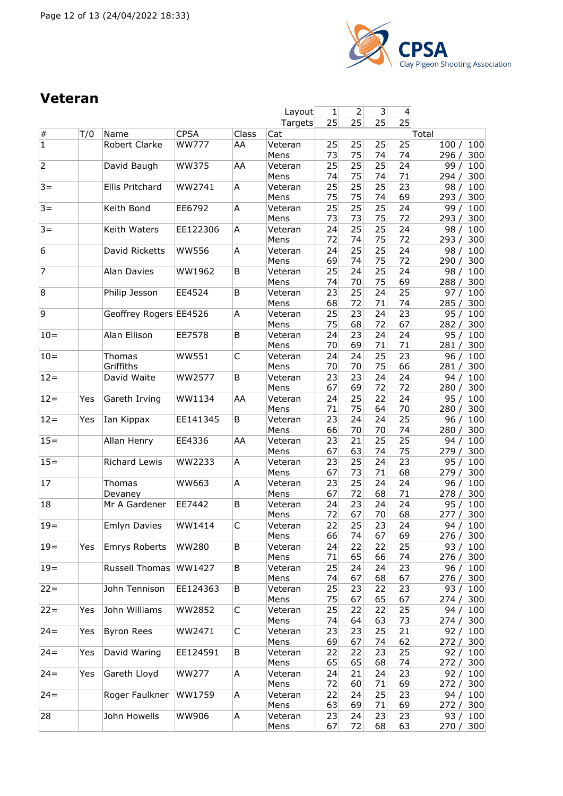

#### **Veteran**

|                |     |                        |              |       | Layout          | 1        | 2        | 3        | 4               |                              |
|----------------|-----|------------------------|--------------|-------|-----------------|----------|----------|----------|-----------------|------------------------------|
|                |     |                        |              |       | Targets         | 25       | 25       | 25       | $\overline{25}$ |                              |
| $\#$           | T/0 | Name                   | <b>CPSA</b>  | Class | Cat             |          |          |          |                 | Total                        |
| $\overline{1}$ |     | Robert Clarke          | <b>WW777</b> | AA    | Veteran<br>Mens | 25<br>73 | 25<br>75 | 25<br>74 | 25<br>74        | 100<br>100/<br>296/<br>300   |
| $\overline{2}$ |     | David Baugh            | WW375        | AA    | Veteran<br>Mens | 25<br>74 | 25<br>75 | 25<br>74 | 24<br>71        | 99/<br>100<br>300<br>294/    |
| $3 =$          |     | Ellis Pritchard        | WW2741       | A     | Veteran         | 25<br>75 | 25<br>75 | 25<br>74 | 23<br>69        | 100<br>98/<br>293/           |
| $3 =$          |     | Keith Bond             | EE6792       | A     | Mens<br>Veteran | 25       | 25       | 25       | 24              | 300<br>100<br>99/            |
|                |     |                        |              |       | Mens            | 73       | 73       | 75       | 72              | 293/<br>300                  |
| $3 =$          |     | Keith Waters           | EE122306     | Α     | Veteran<br>Mens | 24<br>72 | 25<br>74 | 25<br>75 | 24<br>72        | 98 /<br>100<br>293/<br>300   |
| 6              |     | David Ricketts         | <b>WW556</b> | Α     | Veteran<br>Mens | 24<br>69 | 25<br>74 | 25<br>75 | 24<br>72        | 100<br>98/<br>300<br>290/    |
| 7              |     | <b>Alan Davies</b>     | WW1962       | B     | Veteran         | 25       | 24       | 25       | 24              | 98/<br>100                   |
| 8              |     | Philip Jesson          | EE4524       | B     | Mens<br>Veteran | 74<br>23 | 70<br>25 | 75<br>24 | 69<br>25        | 288/<br>300<br>97 $/$<br>100 |
|                |     |                        |              |       | Mens            | 68       | 72       | 71       | 74              | 285 / 300                    |
| 9              |     | Geoffrey Rogers EE4526 |              | Α     | Veteran         | 25       | 23       | 24       | 23              | 95/<br>100                   |
|                |     |                        |              |       | Mens            | 75       | 68       | 72       | 67              | 300<br>282/                  |
| $10=$          |     | Alan Ellison           | EE7578       | B     | Veteran<br>Mens | 24<br>70 | 23<br>69 | 24<br>71 | 24<br>71        | 100<br>95/<br>281/<br>300    |
| $10 =$         |     | Thomas                 | <b>WW551</b> | C     | Veteran         | 24       | 24       | 25       | 23              | 96/<br>100                   |
|                |     | Griffiths              |              |       | Mens            | 70       | 70       | 75       | 66              | 281/<br>300                  |
| $12 =$         |     | David Waite            | WW2577       | B     | Veteran         | 23       | 23       | 24       | 24              | 100<br>94/                   |
| $12 =$         | Yes | Gareth Irving          | WW1134       | AA    | Mens<br>Veteran | 67<br>24 | 69<br>25 | 72<br>22 | 72<br>24        | 280 / 300<br>95/<br>100      |
|                |     |                        |              |       | Mens            | 71       | 75       | 64       | 70              | 280/<br>300                  |
| $12 =$         | Yes | Ian Kippax             | EE141345     | B     | Veteran         | 23       | 24       | 24       | 25              | 100<br>96/                   |
|                |     |                        |              |       | Mens            | 66       | 70       | 70       | 74              | 300<br>280/                  |
| $15 =$         |     | Allan Henry            | EE4336       | AA    | Veteran<br>Mens | 23<br>67 | 21<br>63 | 25<br>74 | 25<br>75        | 94/<br>100<br>279/<br>300    |
| $15 =$         |     | Richard Lewis          | WW2233       | Α     | Veteran<br>Mens | 23<br>67 | 25<br>73 | 24<br>71 | 23<br>68        | 95/<br>100<br>279/<br>300    |
| 17             |     | Thomas                 | WW663        | Α     | Veteran         | 23       | 25       | 24       | 24              | 96/<br>100                   |
|                |     | Devaney                |              |       | Mens            | 67       | 72       | 68       | 71              | 300<br>278/                  |
| 18             |     | Mr A Gardener          | EE7442       | B     | Veteran<br>Mens | 24<br>72 | 23<br>67 | 24<br>70 | 24<br>68        | 95/<br>100<br>277 / 300      |
| $19 =$         |     | <b>Emlyn Davies</b>    | WW1414       | C     | Veteran         | 22       | 25       | 23       | 24              | 94 / 100                     |
|                |     |                        |              |       | Mens            | 66       | 74       | 67       | 69              | 276 / 300                    |
| $19 =$         | Yes | <b>Emrys Roberts</b>   | <b>WW280</b> | B     | Veteran         | 24       | 22       | 22       | 25              | 93 / 100                     |
| $19 =$         |     | Russell Thomas         |              |       | Mens            | 71       | 65       | 66       | 74<br>23        | 276 / 300                    |
|                |     |                        | WW1427       | B     | Veteran<br>Mens | 25<br>74 | 24<br>67 | 24<br>68 | 67              | 96 / 100<br>276 / 300        |
| $22 =$         |     | John Tennison          | EE124363     | B     | Veteran<br>Mens | 25<br>75 | 23<br>67 | 22<br>65 | 23<br>67        | 93 / 100<br>274 / 300        |
| $22 =$         | Yes | John Williams          | WW2852       | C     | Veteran         | 25       | 22       | 22       | 25              | 94 / 100                     |
|                |     |                        |              |       | Mens            | 74       | 64       | 63       | 73              | 274 / 300                    |
| $24 =$         | Yes | <b>Byron Rees</b>      | WW2471       | C     | Veteran<br>Mens | 23<br>69 | 23<br>67 | 25<br>74 | 21<br>62        | 92 / 100<br>272 / 300        |
| $24 =$         | Yes | David Waring           | EE124591     | B     | Veteran         | 22       | 22       | 23       | 25              | 92 / 100                     |
| $24 =$         | Yes | Gareth Lloyd           | WW277        | A     | Mens<br>Veteran | 65<br>24 | 65<br>21 | 68<br>24 | 74<br>23        | 272 / 300<br>92 / 100        |
|                |     |                        |              |       | Mens            | 72       | 60       | 71       | 69              | 272 / 300                    |
| $24 =$         |     | Roger Faulkner         | WW1759       | A     | Veteran         | 22       | 24       | 25       | 23              | 94 / 100                     |
|                |     |                        |              |       | Mens            | 63       | 69       | 71       | 69              | 272 / 300                    |
| 28             |     | John Howells           | WW906        | A     | Veteran<br>Mens | 23<br>67 | 24<br>72 | 23<br>68 | 23<br>63        | 93 / 100<br>270 / 300        |